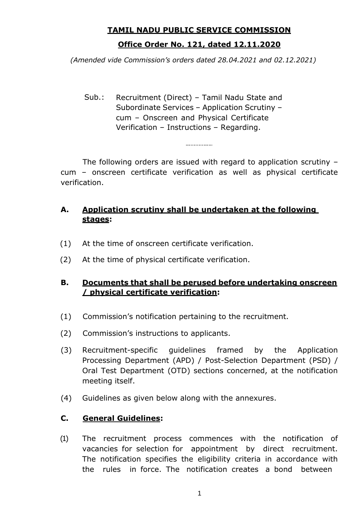# **TAMIL NADU PUBLIC SERVICE COMMISSION Office Order No. 121, dated 12.11.2020**

*(Amended vide Commission's orders dated 28.04.2021 and 02.12.2021)*

Sub.: Recruitment (Direct) – Tamil Nadu State and Subordinate Services – Application Scrutiny – cum – Onscreen and Physical Certificate Verification – Instructions – Regarding.

The following orders are issued with regard to application scrutiny – cum – onscreen certificate verification as well as physical certificate verification.

-----------

## **A. Application scrutiny shall be undertaken at the following stages:**

- (1) At the time of onscreen certificate verification.
- (2) At the time of physical certificate verification.

#### **B. Documents that shall be perused before undertaking onscreen / physical certificate verification:**

- (1) Commission"s notification pertaining to the recruitment.
- (2) Commission"s instructions to applicants.
- (3) Recruitment-specific guidelines framed by the Application Processing Department (APD) / Post-Selection Department (PSD) / Oral Test Department (OTD) sections concerned, at the notification meeting itself.
- (4) Guidelines as given below along with the annexures.

## **C. General Guidelines:**

(1) The recruitment process commences with the notification of vacancies for selection for appointment by direct recruitment. The notification specifies the eligibility criteria in accordance with the rules in force. The notification creates a bond between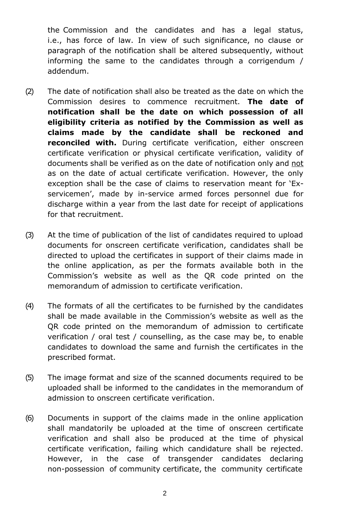the Commission and the candidates and has a legal status, i.e., has force of law. In view of such significance, no clause or paragraph of the notification shall be altered subsequently, without informing the same to the candidates through a corrigendum / addendum.

- (2) The date of notification shall also be treated as the date on which the Commission desires to commence recruitment. **The date of notification shall be the date on which possession of all eligibility criteria as notified by the Commission as well as claims made by the candidate shall be reckoned and reconciled with.** During certificate verification, either onscreen certificate verification or physical certificate verification, validity of documents shall be verified as on the date of notification only and not as on the date of actual certificate verification. However, the only exception shall be the case of claims to reservation meant for "Exservicemen', made by in-service armed forces personnel due for discharge within a year from the last date for receipt of applications for that recruitment.
- (3) At the time of publication of the list of candidates required to upload documents for onscreen certificate verification, candidates shall be directed to upload the certificates in support of their claims made in the online application, as per the formats available both in the Commission"s website as well as the QR code printed on the memorandum of admission to certificate verification.
- (4) The formats of all the certificates to be furnished by the candidates shall be made available in the Commission"s website as well as the QR code printed on the memorandum of admission to certificate verification / oral test / counselling, as the case may be, to enable candidates to download the same and furnish the certificates in the prescribed format.
- (5) The image format and size of the scanned documents required to be uploaded shall be informed to the candidates in the memorandum of admission to onscreen certificate verification.
- (6) Documents in support of the claims made in the online application shall mandatorily be uploaded at the time of onscreen certificate verification and shall also be produced at the time of physical certificate verification, failing which candidature shall be rejected. However, in the case of transgender candidates declaring non-possession of community certificate, the community certificate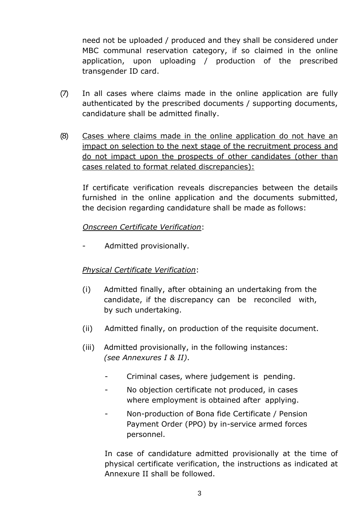need not be uploaded / produced and they shall be considered under MBC communal reservation category, if so claimed in the online application, upon uploading / production of the prescribed transgender ID card.

- (7) In all cases where claims made in the online application are fully authenticated by the prescribed documents / supporting documents, candidature shall be admitted finally.
- (8) Cases where claims made in the online application do not have an impact on selection to the next stage of the recruitment process and do not impact upon the prospects of other candidates (other than cases related to format related discrepancies):

If certificate verification reveals discrepancies between the details furnished in the online application and the documents submitted, the decision regarding candidature shall be made as follows:

#### *Onscreen Certificate Verification*:

Admitted provisionally.

#### *Physical Certificate Verification*:

- (i) Admitted finally, after obtaining an undertaking from the candidate, if the discrepancy can be reconciled with, by such undertaking.
- (ii) Admitted finally, on production of the requisite document.
- (iii) Admitted provisionally, in the following instances: *(see Annexures I & II)*.
	- Criminal cases, where judgement is pending.
	- No objection certificate not produced, in cases where employment is obtained after applying.
	- Non-production of Bona fide Certificate / Pension Payment Order (PPO) by in-service armed forces personnel.

In case of candidature admitted provisionally at the time of physical certificate verification, the instructions as indicated at Annexure II shall be followed.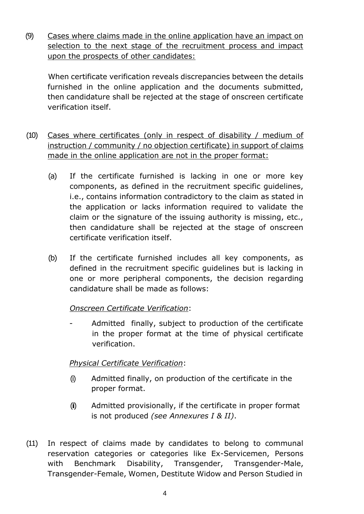(9) Cases where claims made in the online application have an impact on selection to the next stage of the recruitment process and impact upon the prospects of other candidates:

When certificate verification reveals discrepancies between the details furnished in the online application and the documents submitted, then candidature shall be rejected at the stage of onscreen certificate verification itself.

- (10) Cases where certificates (only in respect of disability / medium of instruction / community / no objection certificate) in support of claims made in the online application are not in the proper format:
	- (a) If the certificate furnished is lacking in one or more key components, as defined in the recruitment specific guidelines, i.e., contains information contradictory to the claim as stated in the application or lacks information required to validate the claim or the signature of the issuing authority is missing, etc., then candidature shall be rejected at the stage of onscreen certificate verification itself.
	- (b) If the certificate furnished includes all key components, as defined in the recruitment specific guidelines but is lacking in one or more peripheral components, the decision regarding candidature shall be made as follows:

#### *Onscreen Certificate Verification*:

Admitted finally, subject to production of the certificate in the proper format at the time of physical certificate verification.

#### *Physical Certificate Verification*:

- (i) Admitted finally, on production of the certificate in the proper format.
- (ii) Admitted provisionally, if the certificate in proper format is not produced *(see Annexures I & II)*.
- (11) In respect of claims made by candidates to belong to communal reservation categories or categories like Ex-Servicemen, Persons with Benchmark Disability, Transgender, Transgender-Male, Transgender-Female, Women, Destitute Widow and Person Studied in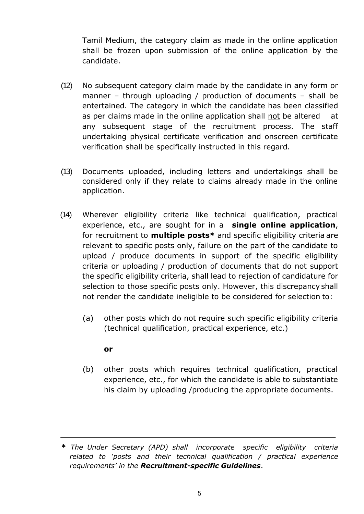Tamil Medium, the category claim as made in the online application shall be frozen upon submission of the online application by the candidate.

- (12) No subsequent category claim made by the candidate in any form or manner – through uploading / production of documents – shall be entertained. The category in which the candidate has been classified as per claims made in the online application shall not be altered at any subsequent stage of the recruitment process. The staff undertaking physical certificate verification and onscreen certificate verification shall be specifically instructed in this regard.
- (13) Documents uploaded, including letters and undertakings shall be considered only if they relate to claims already made in the online application.
- (14) Wherever eligibility criteria like technical qualification, practical experience, etc., are sought for in a **single online application**, for recruitment to **multiple posts\*** and specific eligibility criteria are relevant to specific posts only, failure on the part of the candidate to upload / produce documents in support of the specific eligibility criteria or uploading / production of documents that do not support the specific eligibility criteria, shall lead to rejection of candidature for selection to those specific posts only. However, this discrepancy shall not render the candidate ineligible to be considered for selection to:
	- (a) other posts which do not require such specific eligibility criteria (technical qualification, practical experience, etc.)

#### **or**

(b) other posts which requires technical qualification, practical experience, etc., for which the candidate is able to substantiate his claim by uploading /producing the appropriate documents.

**<sup>\*</sup>** *The Under Secretary (APD) shall incorporate specific eligibility criteria related to 'posts and their technical qualification / practical experience requirements' in the Recruitment-specific Guidelines*.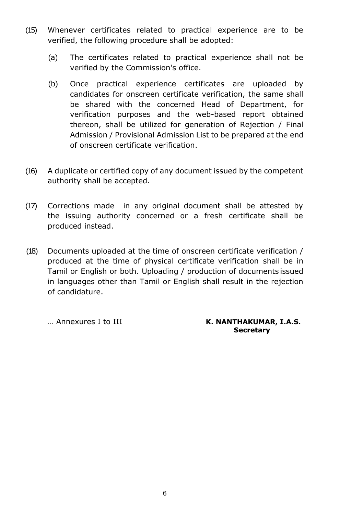- (15) Whenever certificates related to practical experience are to be verified, the following procedure shall be adopted:
	- (a) The certificates related to practical experience shall not be verified by the Commission's office.
	- (b) Once practical experience certificates are uploaded by candidates for onscreen certificate verification, the same shall be shared with the concerned Head of Department, for verification purposes and the web-based report obtained thereon, shall be utilized for generation of Rejection / Final Admission / Provisional Admission List to be prepared at the end of onscreen certificate verification.
- (16) A duplicate or certified copy of any document issued by the competent authority shall be accepted.
- (17) Corrections made in any original document shall be attested by the issuing authority concerned or a fresh certificate shall be produced instead.
- (18) Documents uploaded at the time of onscreen certificate verification / produced at the time of physical certificate verification shall be in Tamil or English or both. Uploading / production of documents issued in languages other than Tamil or English shall result in the rejection of candidature.

... Annexures I to III **K. NANTHAKUMAR, I.A.S. Secretary**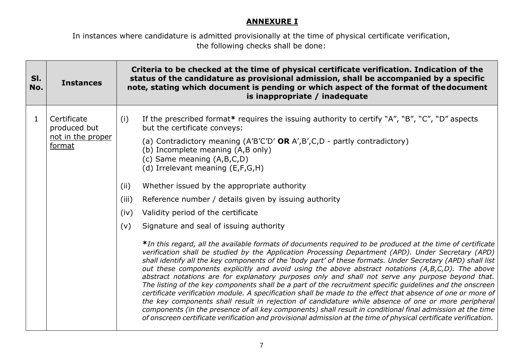#### **ANNEXURE I**

In instances where candidature is admitted provisionally at the time of physical certificate verification, the following checks shall be done:

| SI.<br>No.   | <b>Instances</b>                                           | Criteria to be checked at the time of physical certificate verification. Indication of the<br>status of the candidature as provisional admission, shall be accompanied by a specific<br>note, stating which document is pending or which aspect of the format of the document<br>is inappropriate / inadequate                                                                                                                                                                                                                                                                                                                                                                                                                                                                                                                                                                                                                                                                                                                                                                                                                                                                                                                                                                                                                                                                                                                                                                                                                                                                                                                                                                |
|--------------|------------------------------------------------------------|-------------------------------------------------------------------------------------------------------------------------------------------------------------------------------------------------------------------------------------------------------------------------------------------------------------------------------------------------------------------------------------------------------------------------------------------------------------------------------------------------------------------------------------------------------------------------------------------------------------------------------------------------------------------------------------------------------------------------------------------------------------------------------------------------------------------------------------------------------------------------------------------------------------------------------------------------------------------------------------------------------------------------------------------------------------------------------------------------------------------------------------------------------------------------------------------------------------------------------------------------------------------------------------------------------------------------------------------------------------------------------------------------------------------------------------------------------------------------------------------------------------------------------------------------------------------------------------------------------------------------------------------------------------------------------|
| $\mathbf{1}$ | Certificate<br>produced but<br>not in the proper<br>format | If the prescribed format* requires the issuing authority to certify "A", "B", "C", "D" aspects<br>(i)<br>but the certificate conveys:<br>(a) Contradictory meaning $(A'B'C'D'$ OR $A', B', C, D$ - partly contradictory)<br>(b) Incomplete meaning (A,B only)<br>(c) Same meaning $(A,B,C,D)$<br>(d) Irrelevant meaning (E,F,G,H)<br>Whether issued by the appropriate authority<br>(ii)<br>(iii)<br>Reference number / details given by issuing authority<br>Validity period of the certificate<br>(iv)<br>(v)<br>Signature and seal of issuing authority<br>*In this regard, all the available formats of documents required to be produced at the time of certificate<br>verification shall be studied by the Application Processing Department (APD). Under Secretary (APD)<br>shall identify all the key components of the 'body part' of these formats. Under Secretary (APD) shall list<br>out these components explicitly and avoid using the above abstract notations (A,B,C,D). The above<br>abstract notations are for explanatory purposes only and shall not serve any purpose beyond that.<br>The listing of the key components shall be a part of the recruitment specific guidelines and the onscreen<br>certificate verification module. A specification shall be made to the effect that absence of one or more of<br>the key components shall result in rejection of candidature while absence of one or more peripheral<br>components (in the presence of all key components) shall result in conditional final admission at the time<br>of onscreen certificate verification and provisional admission at the time of physical certificate verification. |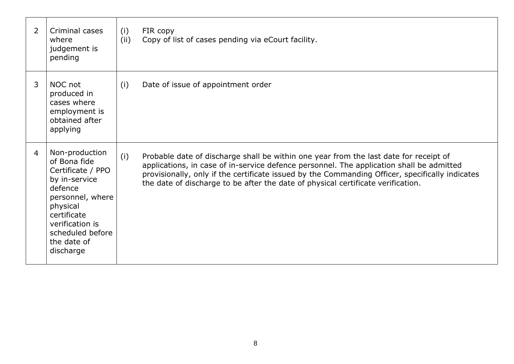| $\overline{2}$ | Criminal cases<br>where<br>judgement is<br>pending                                                                                                                                                | (i)<br>(ii) | FIR copy<br>Copy of list of cases pending via eCourt facility.                                                                                                                                                                                                                                                                                                           |
|----------------|---------------------------------------------------------------------------------------------------------------------------------------------------------------------------------------------------|-------------|--------------------------------------------------------------------------------------------------------------------------------------------------------------------------------------------------------------------------------------------------------------------------------------------------------------------------------------------------------------------------|
| 3              | NOC not<br>produced in<br>cases where<br>employment is<br>obtained after<br>applying                                                                                                              | (i)         | Date of issue of appointment order                                                                                                                                                                                                                                                                                                                                       |
| $\overline{4}$ | Non-production<br>of Bona fide<br>Certificate / PPO<br>by in-service<br>defence<br>personnel, where<br>physical<br>certificate<br>verification is<br>scheduled before<br>the date of<br>discharge | (i)         | Probable date of discharge shall be within one year from the last date for receipt of<br>applications, in case of in-service defence personnel. The application shall be admitted<br>provisionally, only if the certificate issued by the Commanding Officer, specifically indicates<br>the date of discharge to be after the date of physical certificate verification. |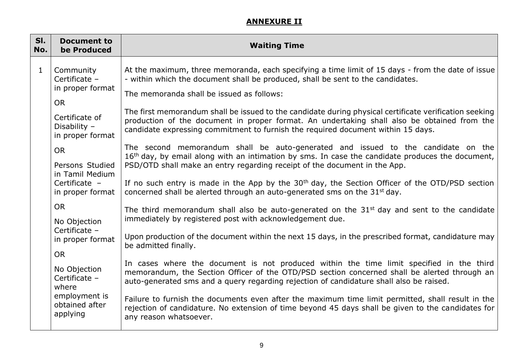## **ANNEXURE II**

| SI.<br>No.   | <b>Document to</b><br>be Produced                               | <b>Waiting Time</b>                                                                                                                                                                                                                                                                 |
|--------------|-----------------------------------------------------------------|-------------------------------------------------------------------------------------------------------------------------------------------------------------------------------------------------------------------------------------------------------------------------------------|
| $\mathbf{1}$ | Community<br>Certificate -<br>in proper format                  | At the maximum, three memoranda, each specifying a time limit of 15 days - from the date of issue<br>- within which the document shall be produced, shall be sent to the candidates.<br>The memoranda shall be issued as follows:                                                   |
|              | <b>OR</b><br>Certificate of<br>Disability -<br>in proper format | The first memorandum shall be issued to the candidate during physical certificate verification seeking                                                                                                                                                                              |
|              |                                                                 | production of the document in proper format. An undertaking shall also be obtained from the<br>candidate expressing commitment to furnish the required document within 15 days.                                                                                                     |
|              | <b>OR</b>                                                       | The second memorandum shall be auto-generated and issued to the candidate on the<br>16 <sup>th</sup> day, by email along with an intimation by sms. In case the candidate produces the document,                                                                                    |
|              | Persons Studied<br>in Tamil Medium<br>Certificate -             | PSD/OTD shall make an entry regarding receipt of the document in the App.<br>If no such entry is made in the App by the $30th$ day, the Section Officer of the OTD/PSD section                                                                                                      |
|              | in proper format<br><b>OR</b>                                   | concerned shall be alerted through an auto-generated sms on the 31st day.<br>The third memorandum shall also be auto-generated on the 31 <sup>st</sup> day and sent to the candidate                                                                                                |
|              | No Objection<br>Certificate -                                   | immediately by registered post with acknowledgement due.                                                                                                                                                                                                                            |
|              | in proper format<br><b>OR</b>                                   | Upon production of the document within the next 15 days, in the prescribed format, candidature may<br>be admitted finally.                                                                                                                                                          |
|              | No Objection<br>Certificate -<br>where                          | In cases where the document is not produced within the time limit specified in the third<br>memorandum, the Section Officer of the OTD/PSD section concerned shall be alerted through an<br>auto-generated sms and a query regarding rejection of candidature shall also be raised. |
|              | employment is<br>obtained after<br>applying                     | Failure to furnish the documents even after the maximum time limit permitted, shall result in the<br>rejection of candidature. No extension of time beyond 45 days shall be given to the candidates for<br>any reason whatsoever.                                                   |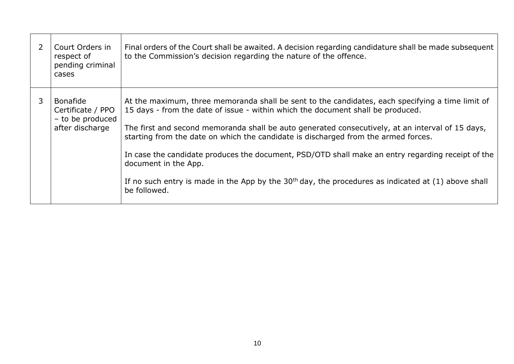| Court Orders in<br>respect of<br>pending criminal<br>cases                  | Final orders of the Court shall be awaited. A decision regarding candidature shall be made subsequent<br>to the Commission's decision regarding the nature of the offence.                                                                                                                                                                                                                                                                                                                                                                                                                                                          |
|-----------------------------------------------------------------------------|-------------------------------------------------------------------------------------------------------------------------------------------------------------------------------------------------------------------------------------------------------------------------------------------------------------------------------------------------------------------------------------------------------------------------------------------------------------------------------------------------------------------------------------------------------------------------------------------------------------------------------------|
| <b>Bonafide</b><br>Certificate / PPO<br>- to be produced<br>after discharge | At the maximum, three memoranda shall be sent to the candidates, each specifying a time limit of<br>15 days - from the date of issue - within which the document shall be produced.<br>The first and second memoranda shall be auto generated consecutively, at an interval of 15 days,<br>starting from the date on which the candidate is discharged from the armed forces.<br>In case the candidate produces the document, PSD/OTD shall make an entry regarding receipt of the<br>document in the App.<br>If no such entry is made in the App by the $30th$ day, the procedures as indicated at (1) above shall<br>be followed. |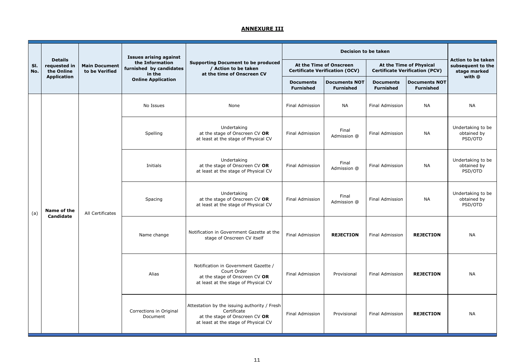|            |                                              |                                        | <b>Issues arising against</b>                        |                                                                                                                                       |                                                                  | <b>Decision to be taken</b>              |                                                                                                                               |                                          | <b>Action to be taken</b>                   |                                                                                       |                        |                      |                        |           |                                             |
|------------|----------------------------------------------|----------------------------------------|------------------------------------------------------|---------------------------------------------------------------------------------------------------------------------------------------|------------------------------------------------------------------|------------------------------------------|-------------------------------------------------------------------------------------------------------------------------------|------------------------------------------|---------------------------------------------|---------------------------------------------------------------------------------------|------------------------|----------------------|------------------------|-----------|---------------------------------------------|
| SI.<br>No. | <b>Details</b><br>requested in<br>the Online | <b>Main Document</b><br>to be Verified | the Information<br>furnished by candidates<br>in the | <b>Supporting Document to be produced</b><br>/ Action to be taken<br>at the time of Onscreen CV                                       | At the Time of Onscreen<br><b>Certificate Verification (OCV)</b> |                                          | At the Time of Physical<br><b>Certificate Verification (PCV)</b>                                                              |                                          | subsequent to the<br>stage marked           |                                                                                       |                        |                      |                        |           |                                             |
|            | <b>Application</b>                           |                                        | <b>Online Application</b>                            |                                                                                                                                       | <b>Documents</b><br><b>Furnished</b>                             | <b>Documents NOT</b><br><b>Furnished</b> | <b>Documents</b><br><b>Furnished</b>                                                                                          | <b>Documents NOT</b><br><b>Furnished</b> | with @                                      |                                                                                       |                        |                      |                        |           |                                             |
|            |                                              |                                        | No Issues                                            | None                                                                                                                                  | <b>Final Admission</b>                                           | <b>NA</b>                                | <b>Final Admission</b>                                                                                                        | <b>NA</b>                                | <b>NA</b>                                   |                                                                                       |                        |                      |                        |           |                                             |
|            |                                              |                                        | Spelling                                             | Undertaking<br>at the stage of Onscreen CV OR<br>at least at the stage of Physical CV                                                 | <b>Final Admission</b>                                           | Final<br>Admission @                     | <b>Final Admission</b>                                                                                                        | <b>NA</b>                                | Undertaking to be<br>obtained by<br>PSD/OTD |                                                                                       |                        |                      |                        |           |                                             |
|            |                                              | All Certificates                       |                                                      |                                                                                                                                       |                                                                  |                                          |                                                                                                                               |                                          | Initials                                    | Undertaking<br>at the stage of Onscreen CV OR<br>at least at the stage of Physical CV | <b>Final Admission</b> | Final<br>Admission @ | <b>Final Admission</b> | <b>NA</b> | Undertaking to be<br>obtained by<br>PSD/OTD |
| (a)        | Name of the<br><b>Candidate</b>              |                                        |                                                      |                                                                                                                                       |                                                                  |                                          |                                                                                                                               |                                          |                                             |                                                                                       |                        |                      |                        |           | Spacing                                     |
|            |                                              |                                        | Name change                                          | Notification in Government Gazette at the<br>stage of Onscreen CV itself                                                              | Final Admission                                                  | <b>REJECTION</b>                         | <b>Final Admission</b>                                                                                                        | <b>REJECTION</b>                         | <b>NA</b>                                   |                                                                                       |                        |                      |                        |           |                                             |
|            |                                              |                                        |                                                      |                                                                                                                                       |                                                                  | Alias                                    | Notification in Government Gazette /<br>Court Order<br>at the stage of Onscreen CV OR<br>at least at the stage of Physical CV | Final Admission                          | Provisional                                 | <b>Final Admission</b>                                                                | <b>REJECTION</b>       | <b>NA</b>            |                        |           |                                             |
|            |                                              |                                        | Corrections in Original<br>Document                  | Attestation by the issuing authority / Fresh<br>Certificate<br>at the stage of Onscreen CV OR<br>at least at the stage of Physical CV | <b>Final Admission</b>                                           | Provisional                              | <b>Final Admission</b>                                                                                                        | <b>REJECTION</b>                         | <b>NA</b>                                   |                                                                                       |                        |                      |                        |           |                                             |

## **ANNEXURE III**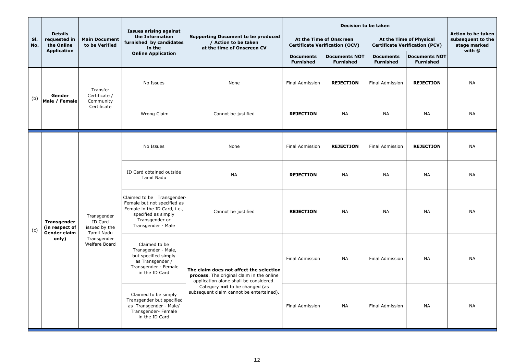|            | <b>Details</b>                                                       |                                                                                       | <b>Issues arising against</b>                                                                                        | <b>Supporting Document to be produced</b><br>/ Action to be taken<br>at the time of Onscreen CV                            |                                                                                      |                                                                  | Action to be taken                                               |                                          |                                   |                                                                                                                                                          |                     |                  |    |     |
|------------|----------------------------------------------------------------------|---------------------------------------------------------------------------------------|----------------------------------------------------------------------------------------------------------------------|----------------------------------------------------------------------------------------------------------------------------|--------------------------------------------------------------------------------------|------------------------------------------------------------------|------------------------------------------------------------------|------------------------------------------|-----------------------------------|----------------------------------------------------------------------------------------------------------------------------------------------------------|---------------------|------------------|----|-----|
| SI.<br>No. | requested in<br>the Online                                           | <b>Main Document</b><br>to be Verified                                                | the Information<br>furnished by candidates<br>in the                                                                 |                                                                                                                            |                                                                                      | At the Time of Onscreen<br><b>Certificate Verification (OCV)</b> | At the Time of Physical<br><b>Certificate Verification (PCV)</b> |                                          | subsequent to the<br>stage marked |                                                                                                                                                          |                     |                  |    |     |
|            | <b>Application</b>                                                   |                                                                                       | <b>Online Application</b>                                                                                            |                                                                                                                            | <b>Documents</b><br><b>Furnished</b>                                                 | <b>Documents NOT</b><br><b>Furnished</b>                         | <b>Documents</b><br><b>Furnished</b>                             | <b>Documents NOT</b><br><b>Furnished</b> | with @                            |                                                                                                                                                          |                     |                  |    |     |
|            | Gender                                                               | Transfer<br>Certificate /<br>Community<br>Certificate                                 | No Issues                                                                                                            | None                                                                                                                       | Final Admission                                                                      | <b>REJECTION</b>                                                 | <b>Final Admission</b>                                           | <b>REJECTION</b>                         | <b>NA</b>                         |                                                                                                                                                          |                     |                  |    |     |
| (b)        | Male / Female                                                        |                                                                                       | <b>Wrong Claim</b>                                                                                                   | Cannot be justified                                                                                                        | <b>REJECTION</b>                                                                     | <b>NA</b>                                                        | <b>NA</b>                                                        | <b>NA</b>                                | <b>NA</b>                         |                                                                                                                                                          |                     |                  |    |     |
|            |                                                                      | Transgender<br>ID Card<br>issued by the<br>Tamil Nadu<br>Transgender<br>Welfare Board | No Issues                                                                                                            | None                                                                                                                       | <b>Final Admission</b>                                                               | <b>REJECTION</b>                                                 | <b>Final Admission</b>                                           | <b>REJECTION</b>                         | <b>NA</b>                         |                                                                                                                                                          |                     |                  |    |     |
|            | <b>Transgender</b><br>(in respect of<br><b>Gender claim</b><br>only) |                                                                                       |                                                                                                                      |                                                                                                                            |                                                                                      | ID Card obtained outside<br><b>Tamil Nadu</b>                    | <b>NA</b>                                                        | <b>REJECTION</b>                         | <b>NA</b>                         | <b>NA</b>                                                                                                                                                | <b>NA</b>           | <b>NA</b>        |    |     |
| (c)        |                                                                      |                                                                                       |                                                                                                                      |                                                                                                                            |                                                                                      |                                                                  |                                                                  |                                          |                                   | Claimed to be Transgender-<br>Female but not specified as<br>Female in the ID Card, i.e.,<br>specified as simply<br>Transgender or<br>Transgender - Male | Cannot be justified | <b>REJECTION</b> | NA | NA. |
|            |                                                                      |                                                                                       |                                                                                                                      | Claimed to be<br>Transgender - Male,<br>but specified simply<br>as Transgender /<br>Transgender - Female<br>in the ID Card | The claim does not affect the selection<br>process. The original claim in the online | Final Admission                                                  | <b>NA</b>                                                        | <b>Final Admission</b>                   | <b>NA</b>                         | <b>NA</b>                                                                                                                                                |                     |                  |    |     |
|            |                                                                      |                                                                                       | Claimed to be simply<br>Transgender but specified<br>as Transgender - Male/<br>Transgender- Female<br>in the ID Card | application alone shall be considered.<br>Category not to be changed (as<br>subsequent claim cannot be entertained).       | Final Admission                                                                      | <b>NA</b>                                                        | Final Admission                                                  | <b>NA</b>                                | <b>NA</b>                         |                                                                                                                                                          |                     |                  |    |     |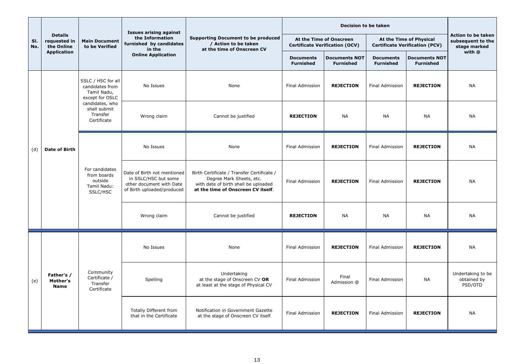|            |                                              |                                                                         | <b>Issues arising against</b>                                                                                 |                                                                                                                                                      |                                      | <b>Decision to be taken</b>                                      |                                                                  |                                                                |                                             |
|------------|----------------------------------------------|-------------------------------------------------------------------------|---------------------------------------------------------------------------------------------------------------|------------------------------------------------------------------------------------------------------------------------------------------------------|--------------------------------------|------------------------------------------------------------------|------------------------------------------------------------------|----------------------------------------------------------------|---------------------------------------------|
| SI.<br>No. | <b>Details</b><br>requested in<br>the Online | <b>Main Document</b><br>to be Verified                                  | the Information<br>furnished by candidates<br>in the                                                          | <b>Supporting Document to be produced</b><br>/ Action to be taken<br>at the time of Onscreen CV                                                      |                                      | At the Time of Onscreen<br><b>Certificate Verification (OCV)</b> | At the Time of Physical<br><b>Certificate Verification (PCV)</b> | <b>Action to be taken</b><br>subsequent to the<br>stage marked |                                             |
|            | <b>Application</b>                           |                                                                         | <b>Online Application</b>                                                                                     |                                                                                                                                                      | <b>Documents</b><br><b>Furnished</b> | <b>Documents NOT</b><br><b>Furnished</b>                         | <b>Documents</b><br><b>Furnished</b>                             | <b>Documents NOT</b><br><b>Furnished</b>                       | with @                                      |
|            |                                              | SSLC / HSC for all<br>candidates from<br>Tamil Nadu,<br>except for OSLC | No Issues                                                                                                     | None                                                                                                                                                 | <b>Final Admission</b>               | <b>REJECTION</b>                                                 | <b>Final Admission</b>                                           | <b>REJECTION</b>                                               | <b>NA</b>                                   |
|            |                                              | candidates, who<br>shall submit<br>Transfer<br>Certificate              | Wrong claim                                                                                                   | Cannot be justified                                                                                                                                  | <b>REJECTION</b>                     | <b>NA</b>                                                        | <b>NA</b>                                                        | <b>NA</b>                                                      | <b>NA</b>                                   |
| (d)        | <b>Date of Birth</b>                         | For candidates<br>from boards<br>outside<br>Tamil Nadu:<br>SSLC/HSC     | No Issues                                                                                                     | None                                                                                                                                                 | <b>Final Admission</b>               | <b>REJECTION</b>                                                 | <b>Final Admission</b>                                           | <b>REJECTION</b>                                               | <b>NA</b>                                   |
|            |                                              |                                                                         | Date of Birth not mentioned<br>in SSLC/HSC but some<br>other document with Date<br>of Birth uploaded/produced | Birth Certificate / Transfer Certificate /<br>Degree Mark Sheets, etc.<br>with date of birth shall be uploaded<br>at the time of Onscreen CV itself. | <b>Final Admission</b>               | <b>REJECTION</b>                                                 | <b>Final Admission</b>                                           | <b>REJECTION</b>                                               | <b>NA</b>                                   |
|            |                                              |                                                                         | Wrong claim                                                                                                   | Cannot be justified                                                                                                                                  | <b>REJECTION</b>                     | <b>NA</b>                                                        | <b>NA</b>                                                        | <b>NA</b>                                                      | <b>NA</b>                                   |
|            |                                              | Community<br>Certificate /<br>Transfer<br>Certificate                   | No Issues                                                                                                     | None                                                                                                                                                 | <b>Final Admission</b>               | <b>REJECTION</b>                                                 | <b>Final Admission</b>                                           | <b>REJECTION</b>                                               | <b>NA</b>                                   |
| (e)        | Father's /<br>Mother's<br><b>Name</b>        |                                                                         | Spelling                                                                                                      | Undertaking<br>at the stage of Onscreen CV OR<br>at least at the stage of Physical CV                                                                | <b>Final Admission</b>               | Final<br>Admission @                                             | <b>Final Admission</b>                                           | <b>NA</b>                                                      | Undertaking to be<br>obtained by<br>PSD/OTD |
|            |                                              |                                                                         | <b>Totally Different from</b><br>that in the Certificate                                                      | Notification in Government Gazette<br>at the stage of Onscreen CV itself                                                                             | <b>Final Admission</b>               | <b>REJECTION</b>                                                 | <b>Final Admission</b>                                           | <b>REJECTION</b>                                               | <b>NA</b>                                   |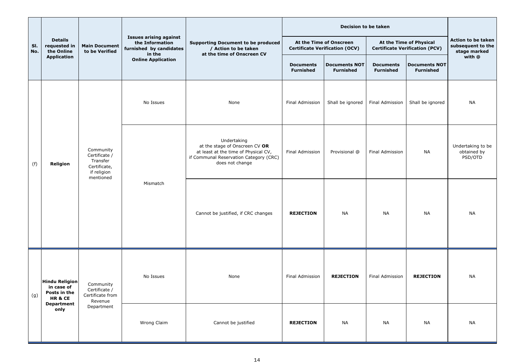|            |                                                                                           |                                                                                    |                                                                                       | <b>Supporting Document to be produced</b><br>/ Action to be taken                                                                                  |                                                                  | <b>Decision to be taken</b>              |                                                                  |                                          |                                                         |                        |                  |           |
|------------|-------------------------------------------------------------------------------------------|------------------------------------------------------------------------------------|---------------------------------------------------------------------------------------|----------------------------------------------------------------------------------------------------------------------------------------------------|------------------------------------------------------------------|------------------------------------------|------------------------------------------------------------------|------------------------------------------|---------------------------------------------------------|------------------------|------------------|-----------|
| SI.<br>No. | <b>Details</b><br>requested in<br>the Online                                              | <b>Main Document</b><br>to be Verified                                             | <b>Issues arising against</b><br>the Information<br>furnished by candidates<br>in the |                                                                                                                                                    | At the Time of Onscreen<br><b>Certificate Verification (OCV)</b> |                                          | At the Time of Physical<br><b>Certificate Verification (PCV)</b> |                                          | Action to be taken<br>subsequent to the<br>stage marked |                        |                  |           |
|            | <b>Application</b>                                                                        |                                                                                    | <b>Online Application</b>                                                             | at the time of Onscreen CV                                                                                                                         | <b>Documents</b><br><b>Furnished</b>                             | <b>Documents NOT</b><br><b>Furnished</b> | <b>Documents</b><br><b>Furnished</b>                             | <b>Documents NOT</b><br><b>Furnished</b> | with @                                                  |                        |                  |           |
|            |                                                                                           |                                                                                    | No Issues                                                                             | None                                                                                                                                               | Final Admission                                                  | Shall be ignored                         | Final Admission                                                  | Shall be ignored                         | <b>NA</b>                                               |                        |                  |           |
| (f)        | Religion                                                                                  | Community<br>Certificate /<br>Transfer<br>Certificate,<br>if religion<br>mentioned | Mismatch                                                                              | Undertaking<br>at the stage of Onscreen CV OR<br>at least at the time of Physical CV,<br>if Communal Reservation Category (CRC)<br>does not change | Final Admission                                                  | Provisional @                            | <b>Final Admission</b>                                           | <b>NA</b>                                | Undertaking to be<br>obtained by<br>PSD/OTD             |                        |                  |           |
|            |                                                                                           |                                                                                    |                                                                                       | Cannot be justified, if CRC changes                                                                                                                | <b>REJECTION</b>                                                 | <b>NA</b>                                | <b>NA</b>                                                        | <b>NA</b>                                | <b>NA</b>                                               |                        |                  |           |
| (g)        | <b>Hindu Religion</b><br>in case of<br>Posts in the<br>HR&CE<br><b>Department</b><br>only | Community<br>Certificate /                                                         |                                                                                       | Certificate from                                                                                                                                   |                                                                  | No Issues                                | None                                                             | <b>Final Admission</b>                   | <b>REJECTION</b>                                        | <b>Final Admission</b> | <b>REJECTION</b> | <b>NA</b> |
|            |                                                                                           | Department                                                                         | Revenue                                                                               | Wrong Claim                                                                                                                                        | Cannot be justified                                              | <b>REJECTION</b>                         | <b>NA</b>                                                        | <b>NA</b>                                | <b>NA</b>                                               | <b>NA</b>              |                  |           |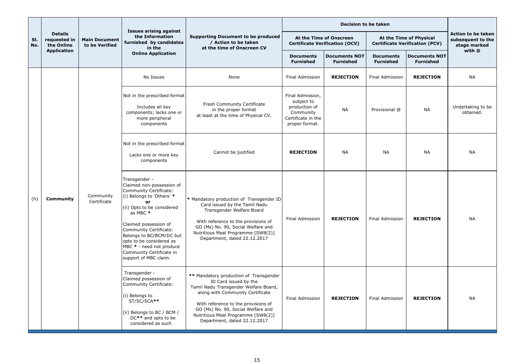|            |                                              |                                        | <b>Issues arising against</b>                                                                                                                                                                                                                                                                                                                 |                                                                                                                                                                                                                                                                                                 |                                                                                                      | <b>Decision to be taken</b>              |                                                                  |                                          |                                                                |
|------------|----------------------------------------------|----------------------------------------|-----------------------------------------------------------------------------------------------------------------------------------------------------------------------------------------------------------------------------------------------------------------------------------------------------------------------------------------------|-------------------------------------------------------------------------------------------------------------------------------------------------------------------------------------------------------------------------------------------------------------------------------------------------|------------------------------------------------------------------------------------------------------|------------------------------------------|------------------------------------------------------------------|------------------------------------------|----------------------------------------------------------------|
| SI.<br>No. | <b>Details</b><br>requested in<br>the Online | <b>Main Document</b><br>to be Verified | the Information<br>furnished by candidates<br>in the                                                                                                                                                                                                                                                                                          | <b>Supporting Document to be produced</b><br>/ Action to be taken<br>at the time of Onscreen CV                                                                                                                                                                                                 | At the Time of Onscreen<br><b>Certificate Verification (OCV)</b>                                     |                                          | At the Time of Physical<br><b>Certificate Verification (PCV)</b> |                                          | <b>Action to be taken</b><br>subsequent to the<br>stage marked |
|            | <b>Application</b>                           |                                        | <b>Online Application</b>                                                                                                                                                                                                                                                                                                                     |                                                                                                                                                                                                                                                                                                 | <b>Documents</b><br><b>Furnished</b>                                                                 | <b>Documents NOT</b><br><b>Furnished</b> | <b>Documents</b><br><b>Furnished</b>                             | <b>Documents NOT</b><br><b>Furnished</b> | with @                                                         |
|            |                                              |                                        | No Issues                                                                                                                                                                                                                                                                                                                                     | None                                                                                                                                                                                                                                                                                            | <b>Final Admission</b>                                                                               | <b>REJECTION</b>                         | <b>Final Admission</b>                                           | <b>REJECTION</b>                         | <b>NA</b>                                                      |
|            |                                              | Community<br>Certificate               | Not in the prescribed format<br>Includes all key<br>components; lacks one or<br>more peripheral<br>components                                                                                                                                                                                                                                 | Fresh Community Certificate<br>in the proper format<br>at least at the time of Physical CV.                                                                                                                                                                                                     | Final Admission,<br>subject to<br>production of<br>Community<br>Certificate in the<br>proper format. | <b>NA</b>                                | Provisional @                                                    | <b>NA</b>                                | Undertaking to be<br>obtained.                                 |
|            |                                              |                                        | Not in the prescribed format<br>Lacks one or more key<br>components                                                                                                                                                                                                                                                                           | Cannot be justified                                                                                                                                                                                                                                                                             | <b>REJECTION</b>                                                                                     | <b>NA</b>                                | <b>NA</b>                                                        | <b>NA</b>                                | <b>NA</b>                                                      |
| (h)        | <b>Community</b>                             |                                        | Transgender -<br>Claimed non-possession of<br>Community Certificate:<br>(i) Belongs to 'Others' *<br>or<br>(ii) Opts to be considered<br>as MBC *<br>Claimed possession of<br>Community Certificate:<br>Belongs to BC/BCM/DC but<br>opts to be considered as<br>MBC * - need not produce<br>Community Certificate in<br>support of MBC claim. | * Mandatory production of Transgender ID<br>Card issued by the Tamil Nadu<br>Transgender Welfare Board<br>With reference to the provisions of<br>GO (Ms) No. 90, Social Welfare and<br>Nutritious Meal Programme [SW8(2)]<br>Department, dated 22.12.2017                                       | <b>Final Admission</b>                                                                               | <b>REJECTION</b>                         | Final Admission                                                  | <b>REJECTION</b>                         | <b>NA</b>                                                      |
|            |                                              |                                        | Transgender -<br>Claimed possession of<br>Community Certificate:<br>(i) Belongs to<br>ST/SC/SCA**<br>(ii) Belongs to BC / BCM /<br>DC** and opts to be<br>considered as such                                                                                                                                                                  | ** Mandatory production of Transgender<br>ID Card issued by the<br>Tamil Nadu Transgender Welfare Board,<br>along with Community Certificate<br>With reference to the provisions of<br>GO (Ms) No. 90, Social Welfare and<br>Nutritious Meal Programme [SW8(2)]<br>Department, dated 22.12.2017 | Final Admission                                                                                      | <b>REJECTION</b>                         | <b>Final Admission</b>                                           | <b>REJECTION</b>                         | <b>NA</b>                                                      |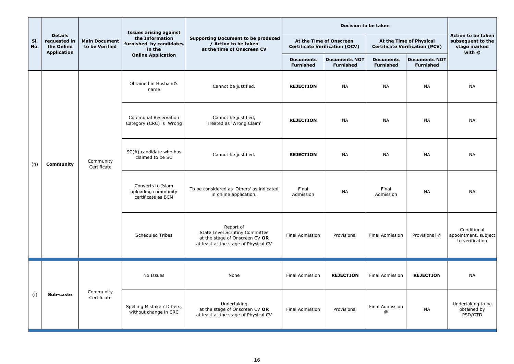|            |                                                                    |                                        |                                                                | <b>Issues arising against</b><br>the Information<br><b>Supporting Document to be produced</b><br>/ Action to be taken<br>at the time of Onscreen CV<br>in the |                                                                  | <b>Decision to be taken</b>              |                                                                  |                                                                   |                                                        |
|------------|--------------------------------------------------------------------|----------------------------------------|----------------------------------------------------------------|---------------------------------------------------------------------------------------------------------------------------------------------------------------|------------------------------------------------------------------|------------------------------------------|------------------------------------------------------------------|-------------------------------------------------------------------|--------------------------------------------------------|
| SI.<br>No. | <b>Details</b><br>requested in<br>the Online<br><b>Application</b> | <b>Main Document</b><br>to be Verified | furnished by candidates                                        |                                                                                                                                                               | At the Time of Onscreen<br><b>Certificate Verification (OCV)</b> |                                          | At the Time of Physical<br><b>Certificate Verification (PCV)</b> | Action to be taken<br>subsequent to the<br>stage marked<br>with @ |                                                        |
|            |                                                                    |                                        | <b>Online Application</b>                                      |                                                                                                                                                               | <b>Documents</b><br><b>Furnished</b>                             | <b>Documents NOT</b><br><b>Furnished</b> | <b>Documents</b><br><b>Furnished</b>                             | <b>Documents NOT</b><br><b>Furnished</b>                          |                                                        |
|            |                                                                    |                                        | Obtained in Husband's<br>name                                  | Cannot be justified.                                                                                                                                          | <b>REJECTION</b>                                                 | <b>NA</b>                                | <b>NA</b>                                                        | <b>NA</b>                                                         | <b>NA</b>                                              |
|            |                                                                    |                                        | <b>Communal Reservation</b><br>Category (CRC) is Wrong         | Cannot be justified,<br>Treated as 'Wrong Claim'                                                                                                              | <b>REJECTION</b>                                                 | <b>NA</b>                                | <b>NA</b>                                                        | <b>NA</b>                                                         | <b>NA</b>                                              |
| (h)        | <b>Community</b>                                                   | Community<br>Certificate               | SC(A) candidate who has<br>claimed to be SC                    | Cannot be justified.                                                                                                                                          | <b>REJECTION</b>                                                 | <b>NA</b>                                | <b>NA</b>                                                        | <b>NA</b>                                                         | <b>NA</b>                                              |
|            |                                                                    |                                        | Converts to Islam<br>uploading community<br>certificate as BCM | To be considered as 'Others' as indicated<br>in online application.                                                                                           | Final<br>Admission                                               | <b>NA</b>                                | Final<br>Admission                                               | <b>NA</b>                                                         | <b>NA</b>                                              |
|            |                                                                    |                                        | <b>Scheduled Tribes</b>                                        | Report of<br>State Level Scrutiny Committee<br>at the stage of Onscreen CV OR<br>at least at the stage of Physical CV                                         | Final Admission                                                  | Provisional                              | <b>Final Admission</b>                                           | Provisional @                                                     | Conditional<br>appointment, subject<br>to verification |
|            | Sub-caste                                                          | Community<br>Certificate               | No Issues                                                      | None                                                                                                                                                          | <b>Final Admission</b>                                           | <b>REJECTION</b>                         | <b>Final Admission</b>                                           | <b>REJECTION</b>                                                  | <b>NA</b>                                              |
| (i)        |                                                                    |                                        | Spelling Mistake / Differs,<br>without change in CRC           | Undertaking<br>at the stage of Onscreen CV OR<br>at least at the stage of Physical CV                                                                         | <b>Final Admission</b>                                           | Provisional                              | Final Admission<br>$^\copyright$                                 | <b>NA</b>                                                         | Undertaking to be<br>obtained by<br>PSD/OTD            |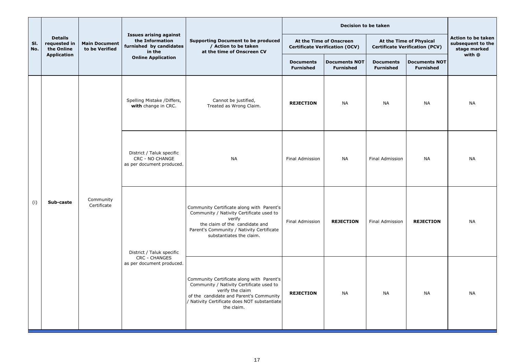|            |                                              |                                        | <b>Issues arising against</b><br>the Information<br>furnished by candidates<br>in the |                                                                                                                                                                                                                    | <b>Decision to be taken</b>                                      |                                          |                                                                  |                                          |                                                                |
|------------|----------------------------------------------|----------------------------------------|---------------------------------------------------------------------------------------|--------------------------------------------------------------------------------------------------------------------------------------------------------------------------------------------------------------------|------------------------------------------------------------------|------------------------------------------|------------------------------------------------------------------|------------------------------------------|----------------------------------------------------------------|
| SI.<br>No. | <b>Details</b><br>requested in<br>the Online | <b>Main Document</b><br>to be Verified |                                                                                       | <b>Supporting Document to be produced</b><br>/ Action to be taken<br>at the time of Onscreen CV                                                                                                                    | At the Time of Onscreen<br><b>Certificate Verification (OCV)</b> |                                          | At the Time of Physical<br><b>Certificate Verification (PCV)</b> |                                          | <b>Action to be taken</b><br>subsequent to the<br>stage marked |
|            | <b>Application</b>                           |                                        | <b>Online Application</b>                                                             |                                                                                                                                                                                                                    | <b>Documents</b><br><b>Furnished</b>                             | <b>Documents NOT</b><br><b>Furnished</b> | <b>Documents</b><br><b>Furnished</b>                             | <b>Documents NOT</b><br><b>Furnished</b> | with @                                                         |
|            | Sub-caste                                    | Community<br>Certificate               | Spelling Mistake / Differs,<br>with change in CRC.                                    | Cannot be justified,<br>Treated as Wrong Claim.                                                                                                                                                                    | <b>REJECTION</b>                                                 | <b>NA</b>                                | <b>NA</b>                                                        | <b>NA</b>                                | <b>NA</b>                                                      |
|            |                                              |                                        | District / Taluk specific<br><b>CRC - NO CHANGE</b><br>as per document produced.      | <b>NA</b>                                                                                                                                                                                                          | <b>Final Admission</b>                                           | <b>NA</b>                                | Final Admission                                                  | <b>NA</b>                                | <b>NA</b>                                                      |
| (i)        |                                              |                                        | District / Taluk specific                                                             | Community Certificate along with Parent's<br>Community / Nativity Certificate used to<br>verify<br>the claim of the candidate and<br>Parent's Community / Nativity Certificate<br>substantiates the claim.         | Final Admission                                                  | <b>REJECTION</b>                         | <b>Final Admission</b>                                           | <b>REJECTION</b>                         | <b>NA</b>                                                      |
|            |                                              |                                        | <b>CRC - CHANGES</b><br>as per document produced.                                     | Community Certificate along with Parent's<br>Community / Nativity Certificate used to<br>verify the claim<br>of the candidate and Parent's Community<br>/ Nativity Certificate does NOT substantiate<br>the claim. | <b>REJECTION</b>                                                 | <b>NA</b>                                | <b>NA</b>                                                        | <b>NA</b>                                | <b>NA</b>                                                      |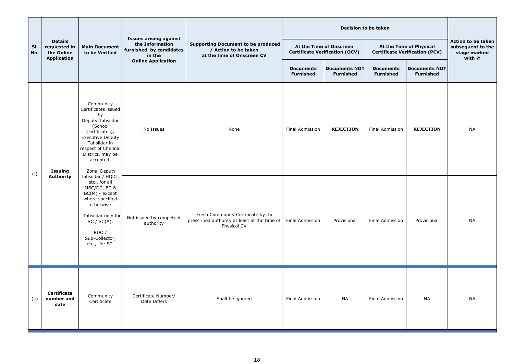|            |                                                                    |                                                                                                                                                                                                                                                                                                                                                                                                         | <b>Issues arising against</b><br>the Information<br>furnished by candidates<br>in the | <b>Supporting Document to be produced</b><br>/ Action to be taken<br>at the time of Onscreen CV   |                                      |                                                                  |                                                                  |                                          |                                                                   |
|------------|--------------------------------------------------------------------|---------------------------------------------------------------------------------------------------------------------------------------------------------------------------------------------------------------------------------------------------------------------------------------------------------------------------------------------------------------------------------------------------------|---------------------------------------------------------------------------------------|---------------------------------------------------------------------------------------------------|--------------------------------------|------------------------------------------------------------------|------------------------------------------------------------------|------------------------------------------|-------------------------------------------------------------------|
| SI.<br>No. | <b>Details</b><br>requested in<br>the Online<br><b>Application</b> | <b>Main Document</b><br>to be Verified                                                                                                                                                                                                                                                                                                                                                                  |                                                                                       |                                                                                                   |                                      | At the Time of Onscreen<br><b>Certificate Verification (OCV)</b> | At the Time of Physical<br><b>Certificate Verification (PCV)</b> |                                          | Action to be taken<br>subsequent to the<br>stage marked<br>with @ |
|            |                                                                    |                                                                                                                                                                                                                                                                                                                                                                                                         | <b>Online Application</b>                                                             |                                                                                                   | <b>Documents</b><br><b>Furnished</b> | <b>Documents NOT</b><br><b>Furnished</b>                         | <b>Documents</b><br><b>Furnished</b>                             | <b>Documents NOT</b><br><b>Furnished</b> |                                                                   |
|            | <b>Issuing</b><br><b>Authority</b>                                 | Community<br>Certificates issued<br>by<br>Deputy Tahsildar<br>(School<br>Certificates),<br><b>Executive Deputy</b><br>Tahsildar in<br>respect of Chennai<br>District, may be<br>accepted.<br>Zonal Deputy<br>Tahsildar / HQDT,<br>etc., for all<br>MBC/DC, BC &<br>$BC(M)$ - except<br>where specified<br>otherwise<br>Tahsildar only for<br>$SC / SC(A)$ .<br>RDO /<br>Sub-Collector,<br>etc., for ST. | No Issues                                                                             | None                                                                                              | Final Admission                      | <b>REJECTION</b>                                                 | Final Admission                                                  | <b>REJECTION</b>                         | <b>NA</b>                                                         |
| (j)        |                                                                    |                                                                                                                                                                                                                                                                                                                                                                                                         | Not issued by competent<br>authority                                                  | Fresh Community Certificate by the<br>prescribed authority at least at the time of<br>Physical CV | Final Admission                      | Provisional                                                      | Final Admission                                                  | Provisional                              | <b>NA</b>                                                         |
| (k)        | <b>Certificate</b><br>number and<br>date                           | Community<br>Certificate                                                                                                                                                                                                                                                                                                                                                                                | Certificate Number/<br>Date Differs                                                   | Shall be ignored                                                                                  | Final Admission                      | <b>NA</b>                                                        | <b>Final Admission</b>                                           | <b>NA</b>                                | <b>NA</b>                                                         |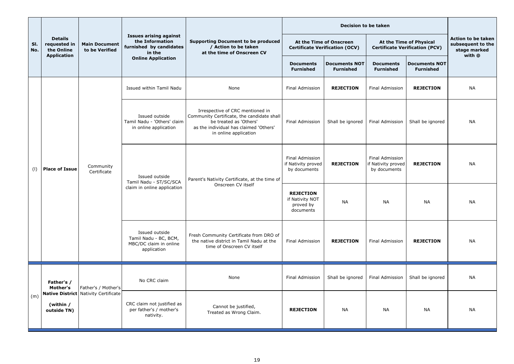| SI.<br>No. | <b>Details</b><br>requested in<br>the Online | <b>Main Document</b><br>to be Verified | <b>Issues arising against</b><br>the Information<br>furnished by candidates<br>in the | <b>Supporting Document to be produced</b><br>/ Action to be taken<br>at the time of Onscreen CV                                                                             |                                                               | At the Time of Onscreen<br><b>Certificate Verification (OCV)</b> | At the Time of Physical<br><b>Certificate Verification (PCV)</b>                 |                                                                                                                   | <b>Action to be taken</b><br>subsequent to the<br>stage marked<br>with @ |                  |                        |                  |
|------------|----------------------------------------------|----------------------------------------|---------------------------------------------------------------------------------------|-----------------------------------------------------------------------------------------------------------------------------------------------------------------------------|---------------------------------------------------------------|------------------------------------------------------------------|----------------------------------------------------------------------------------|-------------------------------------------------------------------------------------------------------------------|--------------------------------------------------------------------------|------------------|------------------------|------------------|
|            | <b>Application</b>                           |                                        | <b>Online Application</b>                                                             |                                                                                                                                                                             | <b>Documents</b><br><b>Furnished</b>                          | <b>Documents NOT</b><br><b>Furnished</b>                         | <b>Documents</b><br><b>Furnished</b>                                             | <b>Documents NOT</b><br><b>Furnished</b>                                                                          |                                                                          |                  |                        |                  |
|            |                                              |                                        | Issued within Tamil Nadu                                                              | None                                                                                                                                                                        | Final Admission                                               | <b>REJECTION</b>                                                 | <b>Final Admission</b>                                                           | <b>REJECTION</b>                                                                                                  | <b>NA</b>                                                                |                  |                        |                  |
|            |                                              | Community<br>Certificate               | Issued outside<br>Tamil Nadu - 'Others' claim<br>in online application                | Irrespective of CRC mentioned in<br>Community Certificate, the candidate shall<br>be treated as 'Others'<br>as the individual has claimed 'Others'<br>in online application | Final Admission                                               | Shall be ignored                                                 | <b>Final Admission</b>                                                           | Shall be ignored                                                                                                  | <b>NA</b>                                                                |                  |                        |                  |
| (1)        | <b>Place of Issue</b>                        |                                        | Issued outside<br>Tamil Nadu - ST/SC/SCA<br>claim in online application               | Parent's Nativity Certificate, at the time of<br>Onscreen CV itself                                                                                                         | <b>Final Admission</b><br>if Nativity proved<br>by documents  | <b>REJECTION</b>                                                 | <b>Final Admission</b><br>if Nativity proved<br>by documents                     | <b>REJECTION</b>                                                                                                  | <b>NA</b>                                                                |                  |                        |                  |
|            |                                              |                                        |                                                                                       |                                                                                                                                                                             | <b>REJECTION</b><br>if Nativity NOT<br>proved by<br>documents | <b>NA</b>                                                        | <b>NA</b>                                                                        | <b>NA</b>                                                                                                         | <b>NA</b>                                                                |                  |                        |                  |
|            |                                              |                                        |                                                                                       |                                                                                                                                                                             |                                                               |                                                                  | Issued outside<br>Tamil Nadu - BC, BCM,<br>MBC/DC claim in online<br>application | Fresh Community Certificate from DRO of<br>the native district in Tamil Nadu at the<br>time of Onscreen CV itself | <b>Final Admission</b>                                                   | <b>REJECTION</b> | <b>Final Admission</b> | <b>REJECTION</b> |
|            | Father's /<br>Mother's                       | Father's / Mother's                    | No CRC claim                                                                          | None                                                                                                                                                                        | Final Admission                                               | Shall be ignored                                                 | <b>Final Admission</b>                                                           | Shall be ignored                                                                                                  | <b>NA</b>                                                                |                  |                        |                  |
| (m)        | (within /<br>outside TN)                     |                                        | <b>Native District   Nativity Certificate  </b>                                       | CRC claim not justified as<br>per father's / mother's<br>nativity.                                                                                                          | Cannot be justified,<br>Treated as Wrong Claim.               | <b>REJECTION</b>                                                 | <b>NA</b>                                                                        | <b>NA</b>                                                                                                         | <b>NA</b>                                                                | <b>NA</b>        |                        |                  |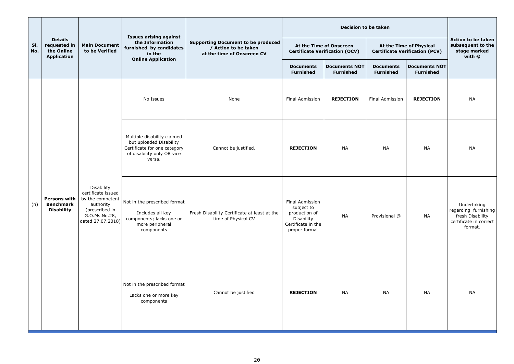|            |                                                                    |                                                                                                                           | <b>Issues arising against</b>                                                                                                                                                        |                                                                                                     |                                                                  | <b>Decision to be taken</b>              |                                                                  |                                                                                              |                                                                   |  |
|------------|--------------------------------------------------------------------|---------------------------------------------------------------------------------------------------------------------------|--------------------------------------------------------------------------------------------------------------------------------------------------------------------------------------|-----------------------------------------------------------------------------------------------------|------------------------------------------------------------------|------------------------------------------|------------------------------------------------------------------|----------------------------------------------------------------------------------------------|-------------------------------------------------------------------|--|
| SI.<br>No. | <b>Details</b><br>requested in<br>the Online<br><b>Application</b> | <b>Main Document</b><br>to be Verified                                                                                    | the Information<br>furnished by candidates<br>in the                                                                                                                                 | <b>Supporting Document to be produced</b><br>/ Action to be taken<br>at the time of Onscreen CV     | At the Time of Onscreen<br><b>Certificate Verification (OCV)</b> |                                          | At the Time of Physical<br><b>Certificate Verification (PCV)</b> |                                                                                              | Action to be taken<br>subsequent to the<br>stage marked<br>with @ |  |
|            |                                                                    |                                                                                                                           | <b>Online Application</b>                                                                                                                                                            |                                                                                                     | <b>Documents</b><br><b>Furnished</b>                             | <b>Documents NOT</b><br><b>Furnished</b> | <b>Documents</b><br><b>Furnished</b>                             | <b>Documents NOT</b><br><b>Furnished</b>                                                     |                                                                   |  |
|            |                                                                    |                                                                                                                           | No Issues                                                                                                                                                                            | None                                                                                                | <b>Final Admission</b>                                           | <b>REJECTION</b>                         | <b>Final Admission</b>                                           | <b>REJECTION</b>                                                                             | <b>NA</b>                                                         |  |
|            | <b>Persons with</b><br><b>Benchmark</b><br><b>Disability</b>       |                                                                                                                           | Multiple disability claimed<br>but uploaded Disability<br>Certificate for one category<br>of disability only OR vice<br>versa.                                                       | Cannot be justified.                                                                                | <b>REJECTION</b>                                                 | <b>NA</b>                                | <b>NA</b>                                                        | <b>NA</b>                                                                                    | <b>NA</b>                                                         |  |
| (n)        |                                                                    | Disability<br>certificate issued<br>by the competent<br>authority<br>(prescribed in<br>G.O.Ms.No.28,<br>dated 27.07.2018) | Not in the prescribed format<br>Includes all key<br>Fresh Disability Certificate at least at the<br>components; lacks one or<br>time of Physical CV<br>more peripheral<br>components | Final Admission<br>subject to<br>production of<br>Disability<br>Certificate in the<br>proper format | <b>NA</b>                                                        | Provisional @                            | <b>NA</b>                                                        | Undertaking<br>regarding furnishing<br>fresh Disability<br>certificate in correct<br>format. |                                                                   |  |
|            |                                                                    |                                                                                                                           | Not in the prescribed format<br>Lacks one or more key<br>components                                                                                                                  | Cannot be justified                                                                                 | <b>REJECTION</b>                                                 | <b>NA</b>                                | <b>NA</b>                                                        | <b>NA</b>                                                                                    | <b>NA</b>                                                         |  |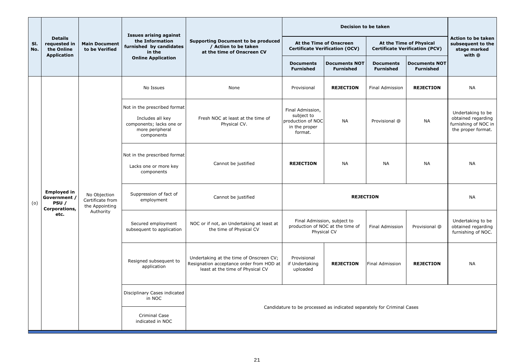|            |                                              |                                                                 |                                                                                                               |                                                                                                                         | <b>Decision to be taken</b>                                                     |                                                                                |                                      |                                                                  |                                                                                       |
|------------|----------------------------------------------|-----------------------------------------------------------------|---------------------------------------------------------------------------------------------------------------|-------------------------------------------------------------------------------------------------------------------------|---------------------------------------------------------------------------------|--------------------------------------------------------------------------------|--------------------------------------|------------------------------------------------------------------|---------------------------------------------------------------------------------------|
| SI.<br>No. | <b>Details</b><br>requested in<br>the Online | <b>Main Document</b><br>to be Verified                          | <b>Issues arising against</b><br>the Information<br>furnished by candidates<br>in the                         | <b>Supporting Document to be produced</b><br>/ Action to be taken<br>at the time of Onscreen CV                         |                                                                                 | At the Time of Onscreen<br><b>Certificate Verification (OCV)</b>               |                                      | At the Time of Physical<br><b>Certificate Verification (PCV)</b> | <b>Action to be taken</b><br>subsequent to the<br>stage marked                        |
|            | <b>Application</b>                           |                                                                 | <b>Online Application</b>                                                                                     |                                                                                                                         | <b>Documents</b><br><b>Furnished</b>                                            | <b>Documents NOT</b><br><b>Furnished</b>                                       | <b>Documents</b><br><b>Furnished</b> | <b>Documents NOT</b><br><b>Furnished</b>                         | with @                                                                                |
|            |                                              |                                                                 | No Issues                                                                                                     | None                                                                                                                    | Provisional                                                                     | <b>REJECTION</b>                                                               | <b>Final Admission</b>               | <b>REJECTION</b>                                                 | <b>NA</b>                                                                             |
|            |                                              |                                                                 | Not in the prescribed format<br>Includes all key<br>components; lacks one or<br>more peripheral<br>components | Fresh NOC at least at the time of<br>Physical CV.                                                                       | Final Admission,<br>subject to<br>production of NOC<br>in the proper<br>format. | <b>NA</b>                                                                      | Provisional @                        | <b>NA</b>                                                        | Undertaking to be<br>obtained regarding<br>furnishing of NOC in<br>the proper format. |
|            |                                              |                                                                 | Not in the prescribed format<br>Lacks one or more key<br>components                                           | Cannot be justified                                                                                                     | <b>NA</b><br><b>REJECTION</b>                                                   | <b>NA</b>                                                                      | <b>NA</b>                            | <b>NA</b>                                                        |                                                                                       |
| (o)        | <b>Employed in</b><br>Government /<br>PSU/   | No Objection<br>Certificate from<br>the Appointing<br>Authority |                                                                                                               | Suppression of fact of<br>employment                                                                                    | Cannot be justified                                                             | <b>REJECTION</b>                                                               |                                      |                                                                  | <b>NA</b>                                                                             |
|            | Corporations,<br>etc.                        |                                                                 | Secured employment<br>subsequent to application                                                               | NOC or if not, an Undertaking at least at<br>the time of Physical CV                                                    |                                                                                 | Final Admission, subject to<br>production of NOC at the time of<br>Physical CV | <b>Final Admission</b>               | Provisional @                                                    | Undertaking to be<br>obtained regarding<br>furnishing of NOC.                         |
|            |                                              |                                                                 | Resigned subsequent to<br>application                                                                         | Undertaking at the time of Onscreen CV;<br>Resignation acceptance order from HOD at<br>least at the time of Physical CV | Provisional<br>if Undertaking<br>uploaded                                       | <b>REJECTION</b>                                                               | Final Admission                      | <b>REJECTION</b>                                                 | <b>NA</b>                                                                             |
|            |                                              |                                                                 | Disciplinary Cases indicated<br>in NOC                                                                        |                                                                                                                         |                                                                                 |                                                                                |                                      |                                                                  |                                                                                       |
|            |                                              |                                                                 | <b>Criminal Case</b><br>indicated in NOC                                                                      |                                                                                                                         |                                                                                 | Candidature to be processed as indicated separately for Criminal Cases         |                                      |                                                                  |                                                                                       |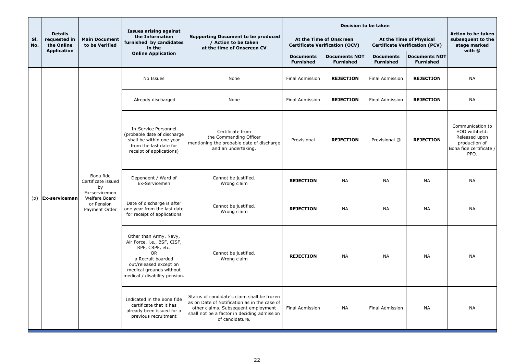|            |                                              |                                                                                                               | <b>Issues arising against</b>                                                                                                                                                                    |                                                                                                                                                                                                      |                                                                  |                                          | <b>Action to be taken</b>                                        |                                             |                                                                                                        |           |
|------------|----------------------------------------------|---------------------------------------------------------------------------------------------------------------|--------------------------------------------------------------------------------------------------------------------------------------------------------------------------------------------------|------------------------------------------------------------------------------------------------------------------------------------------------------------------------------------------------------|------------------------------------------------------------------|------------------------------------------|------------------------------------------------------------------|---------------------------------------------|--------------------------------------------------------------------------------------------------------|-----------|
| SI.<br>No. | <b>Details</b><br>requested in<br>the Online | <b>Main Document</b><br>to be Verified                                                                        | the Information<br>furnished by candidates<br>in the                                                                                                                                             | <b>Supporting Document to be produced</b><br>/ Action to be taken<br>at the time of Onscreen CV                                                                                                      | At the Time of Onscreen<br><b>Certificate Verification (OCV)</b> |                                          | At the Time of Physical<br><b>Certificate Verification (PCV)</b> | subsequent to the<br>stage marked<br>with @ |                                                                                                        |           |
|            | <b>Application</b>                           |                                                                                                               | <b>Online Application</b>                                                                                                                                                                        |                                                                                                                                                                                                      | <b>Documents</b><br><b>Furnished</b>                             | <b>Documents NOT</b><br><b>Furnished</b> | <b>Documents</b><br><b>Furnished</b>                             | <b>Documents NOT</b><br><b>Furnished</b>    |                                                                                                        |           |
|            |                                              |                                                                                                               | No Issues                                                                                                                                                                                        | None                                                                                                                                                                                                 | <b>Final Admission</b>                                           | <b>REJECTION</b>                         | <b>Final Admission</b>                                           | <b>REJECTION</b>                            | <b>NA</b>                                                                                              |           |
|            |                                              |                                                                                                               | Already discharged                                                                                                                                                                               | None                                                                                                                                                                                                 | <b>Final Admission</b>                                           | <b>REJECTION</b>                         | <b>Final Admission</b>                                           | <b>REJECTION</b>                            | <b>NA</b>                                                                                              |           |
|            | $(p)$ <b>Ex-serviceman</b>                   |                                                                                                               | In-Service Personnel<br>(probable date of discharge<br>shall be within one year<br>from the last date for<br>receipt of applications)                                                            | Certificate from<br>the Commanding Officer<br>mentioning the probable date of discharge<br>and an undertaking.                                                                                       | Provisional                                                      | <b>REJECTION</b>                         | Provisional @                                                    | <b>REJECTION</b>                            | Communication to<br>HOD withheld:<br>Released upon<br>production of<br>Bona fide certificate /<br>PPO. |           |
|            |                                              | Bona fide<br>Certificate issued<br>by<br>Ex-servicemen<br><b>Welfare Board</b><br>or Pension<br>Payment Order |                                                                                                                                                                                                  | Dependent / Ward of<br>Ex-Servicemen                                                                                                                                                                 | Cannot be justified.<br>Wrong claim                              | <b>REJECTION</b>                         | <b>NA</b>                                                        | <b>NA</b>                                   | <b>NA</b>                                                                                              | <b>NA</b> |
|            |                                              |                                                                                                               |                                                                                                                                                                                                  | Date of discharge is after<br>one year from the last date<br>for receipt of applications                                                                                                             | Cannot be justified.<br>Wrong claim                              | <b>REJECTION</b>                         | <b>NA</b>                                                        | NA                                          | <b>NA</b>                                                                                              | <b>NA</b> |
|            |                                              |                                                                                                               | Other than Army, Navy,<br>Air Force, i.e., BSF, CISF,<br>RPF, CRPF, etc.<br><b>OR</b><br>a Recruit boarded<br>out/released except on<br>medical grounds without<br>medical / disability pension. | Cannot be justified.<br>Wrong claim                                                                                                                                                                  | <b>REJECTION</b><br><b>NA</b>                                    |                                          | <b>NA</b>                                                        | <b>NA</b>                                   | <b>NA</b>                                                                                              |           |
|            |                                              |                                                                                                               | Indicated in the Bona fide<br>certificate that it has<br>already been issued for a<br>previous recruitment                                                                                       | Status of candidate's claim shall be frozen<br>as on Date of Notification as in the case of<br>other claims. Subsequent employment<br>shall not be a factor in deciding admission<br>of candidature. | Final Admission                                                  | <b>NA</b>                                | <b>Final Admission</b>                                           | <b>NA</b>                                   | <b>NA</b>                                                                                              |           |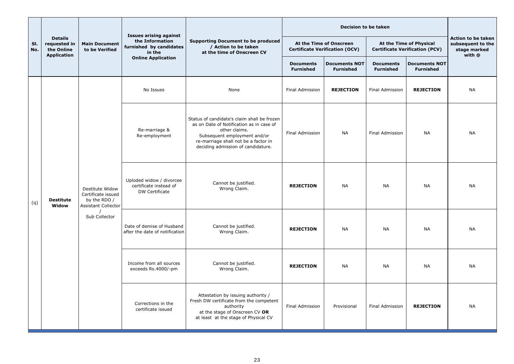|            |                                                                    |                                                       | <b>Issues arising against</b>                               |                                                                                                                                                                                                                        |                                                                  | <b>Decision to be taken</b>              |                                                                  |                                          |                                                                          |           |  |  |                                                |                                      |                  |           |           |           |
|------------|--------------------------------------------------------------------|-------------------------------------------------------|-------------------------------------------------------------|------------------------------------------------------------------------------------------------------------------------------------------------------------------------------------------------------------------------|------------------------------------------------------------------|------------------------------------------|------------------------------------------------------------------|------------------------------------------|--------------------------------------------------------------------------|-----------|--|--|------------------------------------------------|--------------------------------------|------------------|-----------|-----------|-----------|
| SI.<br>No. | <b>Details</b><br>requested in<br>the Online<br><b>Application</b> | <b>Main Document</b><br>to be Verified                | the Information<br>furnished by candidates<br>in the        | <b>Supporting Document to be produced</b><br>/ Action to be taken<br>at the time of Onscreen CV                                                                                                                        | At the Time of Onscreen<br><b>Certificate Verification (OCV)</b> |                                          | At the Time of Physical<br><b>Certificate Verification (PCV)</b> |                                          | <b>Action to be taken</b><br>subsequent to the<br>stage marked<br>with @ |           |  |  |                                                |                                      |                  |           |           |           |
|            |                                                                    |                                                       | <b>Online Application</b>                                   |                                                                                                                                                                                                                        | <b>Documents</b><br><b>Furnished</b>                             | <b>Documents NOT</b><br><b>Furnished</b> | <b>Documents</b><br><b>Furnished</b>                             | <b>Documents NOT</b><br><b>Furnished</b> |                                                                          |           |  |  |                                                |                                      |                  |           |           |           |
|            |                                                                    |                                                       | No Issues                                                   | None                                                                                                                                                                                                                   | <b>Final Admission</b>                                           | <b>REJECTION</b>                         | <b>Final Admission</b>                                           | <b>REJECTION</b>                         | <b>NA</b>                                                                |           |  |  |                                                |                                      |                  |           |           |           |
|            |                                                                    |                                                       | Re-marriage &<br>Re-employment                              | Status of candidate's claim shall be frozen<br>as on Date of Notification as in case of<br>other claims.<br>Subsequent employment and/or<br>re-marriage shall not be a factor in<br>deciding admission of candidature. | Final Admission                                                  | <b>NA</b>                                | <b>Final Admission</b>                                           | <b>NA</b>                                | <b>NA</b>                                                                |           |  |  |                                                |                                      |                  |           |           |           |
| (q)        | <b>Destitute</b><br>Widow                                          | Destitute Widow<br>Certificate issued<br>by the RDO / | <b>Assistant Collector</b>                                  | Uploded widow / divorcee<br>certificate instead of<br>DW Certificate                                                                                                                                                   | Cannot be justified.<br>Wrong Claim.                             | <b>REJECTION</b>                         | <b>NA</b>                                                        | <b>NA</b>                                | <b>NA</b>                                                                | <b>NA</b> |  |  |                                                |                                      |                  |           |           |           |
|            |                                                                    | Sub Collector                                         | Date of demise of Husband<br>after the date of notification | Cannot be justified.<br>Wrong Claim.                                                                                                                                                                                   | <b>REJECTION</b>                                                 | <b>NA</b>                                | <b>NA</b>                                                        | <b>NA</b>                                | <b>NA</b>                                                                |           |  |  |                                                |                                      |                  |           |           |           |
|            |                                                                    |                                                       |                                                             |                                                                                                                                                                                                                        |                                                                  |                                          |                                                                  |                                          |                                                                          |           |  |  | Income from all sources<br>exceeds Rs.4000/-pm | Cannot be justified.<br>Wrong Claim. | <b>REJECTION</b> | <b>NA</b> | <b>NA</b> | <b>NA</b> |
|            |                                                                    |                                                       | Corrections in the<br>certificate issued                    | Attestation by issuing authority /<br>Fresh DW certificate from the competent<br>authority<br>at the stage of Onscreen CV OR<br>at least at the stage of Physical CV                                                   | Final Admission                                                  | Provisional                              | <b>Final Admission</b>                                           | <b>REJECTION</b>                         | <b>NA</b>                                                                |           |  |  |                                                |                                      |                  |           |           |           |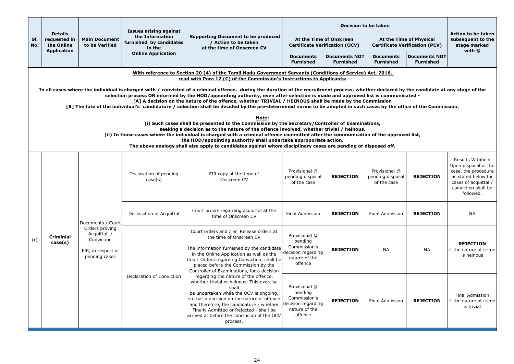|            |                                                                                                                                                                                                                                                                                                                                                                                                                                                                                                                                                                                                                                                                                                                                                                                                                                                                                                                                                                                                                                                                                                                                                    |                                                                                    | <b>Issues arising against</b>                        |                                                                                                                                                                                                                                                                                                                                        |                                                                                            | <b>Decision to be taken</b>              |                                                                  |                                          |                                                                                                                                                    |  |
|------------|----------------------------------------------------------------------------------------------------------------------------------------------------------------------------------------------------------------------------------------------------------------------------------------------------------------------------------------------------------------------------------------------------------------------------------------------------------------------------------------------------------------------------------------------------------------------------------------------------------------------------------------------------------------------------------------------------------------------------------------------------------------------------------------------------------------------------------------------------------------------------------------------------------------------------------------------------------------------------------------------------------------------------------------------------------------------------------------------------------------------------------------------------|------------------------------------------------------------------------------------|------------------------------------------------------|----------------------------------------------------------------------------------------------------------------------------------------------------------------------------------------------------------------------------------------------------------------------------------------------------------------------------------------|--------------------------------------------------------------------------------------------|------------------------------------------|------------------------------------------------------------------|------------------------------------------|----------------------------------------------------------------------------------------------------------------------------------------------------|--|
| SI.<br>No. | <b>Details</b><br>requested in<br>the Online                                                                                                                                                                                                                                                                                                                                                                                                                                                                                                                                                                                                                                                                                                                                                                                                                                                                                                                                                                                                                                                                                                       | <b>Main Document</b><br>to be Verified                                             | the Information<br>furnished by candidates<br>in the | <b>Supporting Document to be produced</b><br>/ Action to be taken<br>at the time of Onscreen CV                                                                                                                                                                                                                                        | At the Time of Onscreen<br><b>Certificate Verification (OCV)</b>                           |                                          | At the Time of Physical<br><b>Certificate Verification (PCV)</b> |                                          | <b>Action to be taken</b><br>subsequent to the<br>stage marked<br>with @                                                                           |  |
|            | <b>Application</b>                                                                                                                                                                                                                                                                                                                                                                                                                                                                                                                                                                                                                                                                                                                                                                                                                                                                                                                                                                                                                                                                                                                                 |                                                                                    | <b>Online Application</b>                            |                                                                                                                                                                                                                                                                                                                                        | <b>Documents</b><br><b>Furnished</b>                                                       | <b>Documents NOT</b><br><b>Furnished</b> | <b>Documents</b><br><b>Furnished</b>                             | <b>Documents NOT</b><br><b>Furnished</b> |                                                                                                                                                    |  |
|            |                                                                                                                                                                                                                                                                                                                                                                                                                                                                                                                                                                                                                                                                                                                                                                                                                                                                                                                                                                                                                                                                                                                                                    |                                                                                    |                                                      | With reference to Section 20 (4) of the Tamil Nadu Government Servants (Conditions of Service) Act, 2016,<br>read with Para 12 (C) of the Commission's Instructions to Applicants:                                                                                                                                                     |                                                                                            |                                          |                                                                  |                                          |                                                                                                                                                    |  |
|            | In all cases where the individual is charged with / convicted of a criminal offence, during the duration of the recruitment process, whether declared by the candidate at any stage of the<br>selection process OR informed by the HOD/appointing authority, even after selection is made and approved list is communicated -<br>[A] A decision on the nature of the offence, whether TRIVIAL / HEINOUS shall be made by the Commission<br>[B] The fate of the individual's candidature / selection shall be decided by the pre-determined norms to be adopted in such cases by the office of the Commission.<br>Note:<br>(i) Such cases shall be presented to the Commission by the Secretary/Controller of Examinations,<br>seeking a decision as to the nature of the offence involved, whether trivial / heinous.<br>(ii) In those cases where the individual is charged with a criminal offence committed after the communication of the approved list,<br>the HOD/appointing authority shall undertake approporiate action.<br>The above analogy shall also apply to candidates against whom disciplinary cases are pending or disposed off. |                                                                                    |                                                      |                                                                                                                                                                                                                                                                                                                                        |                                                                                            |                                          |                                                                  |                                          |                                                                                                                                                    |  |
|            |                                                                                                                                                                                                                                                                                                                                                                                                                                                                                                                                                                                                                                                                                                                                                                                                                                                                                                                                                                                                                                                                                                                                                    |                                                                                    | Declaration of pending<br>case(s)                    | FIR copy at the time of<br>Onscreen CV                                                                                                                                                                                                                                                                                                 | Provisional @<br>pending disposal<br>of the case                                           | <b>REJECTION</b>                         | Provisional @<br>pending disposal<br>of the case                 | <b>REJECTION</b>                         | Results Withheld<br>Upon disposal of the<br>case, the procedure<br>as stated below for<br>cases of acquittal /<br>conviction shall be<br>followed. |  |
|            |                                                                                                                                                                                                                                                                                                                                                                                                                                                                                                                                                                                                                                                                                                                                                                                                                                                                                                                                                                                                                                                                                                                                                    | Documents / Court                                                                  | Declaration of Acquittal                             | Court orders regarding acquittal at the<br>time of Onscreen CV                                                                                                                                                                                                                                                                         | <b>Final Admission</b>                                                                     | <b>REJECTION</b>                         | <b>Final Admission</b>                                           | <b>REJECTION</b>                         | <b>NA</b>                                                                                                                                          |  |
| (r)        | <b>Criminial</b><br>case(s)                                                                                                                                                                                                                                                                                                                                                                                                                                                                                                                                                                                                                                                                                                                                                                                                                                                                                                                                                                                                                                                                                                                        | Orders proving<br>Acquittal /<br>Conviction<br>FIR, in respect of<br>pending cases |                                                      | Court orders and / or Release orders at<br>the time of Onscreen CV<br>The information furnished by the candidate<br>in the Online Application as well as the<br>Court Orders regarding Conviction, shall be<br>placed before the Commission by the<br>Controller of Examinations, for a decision                                       | Provisional @<br>pending<br>Commission's<br>decision regarding<br>nature of the<br>offence | <b>REJECTION</b>                         | <b>NA</b>                                                        | <b>NA</b>                                | <b>REJECTION</b><br>lif the nature of crime<br>is heinous                                                                                          |  |
|            |                                                                                                                                                                                                                                                                                                                                                                                                                                                                                                                                                                                                                                                                                                                                                                                                                                                                                                                                                                                                                                                                                                                                                    |                                                                                    | Declaration of Conviction                            | regarding the nature of the offence,<br>whether trivial or heinous. This exercise<br>shall<br>be undertaken while the OCV is ongoing,<br>so that a decision on the nature of offence<br>and therefore, the candidature - whether<br>Finally Admitted or Rejected - shall be<br>arrived at before the conclusion of the OCV<br>process. | Provisional @<br>pending<br>Commission's<br>decision regarding<br>nature of the<br>offence | <b>REJECTION</b>                         | <b>Final Admission</b>                                           | <b>REJECTION</b>                         | Final Admission<br>if the nature of crime<br>is trivial                                                                                            |  |

- 
- 
-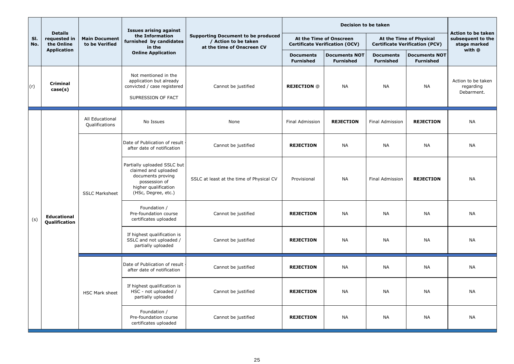|            |                                              |                                        | <b>Issues arising against</b>                                                                        |                                                                                                                                          |                                          |                                                                  | Action to be taken                                               |                                          |                                               |
|------------|----------------------------------------------|----------------------------------------|------------------------------------------------------------------------------------------------------|------------------------------------------------------------------------------------------------------------------------------------------|------------------------------------------|------------------------------------------------------------------|------------------------------------------------------------------|------------------------------------------|-----------------------------------------------|
| SI.<br>No. | <b>Details</b><br>requested in<br>the Online | <b>Main Document</b><br>to be Verified | the Information<br>furnished by candidates<br>in the                                                 | <b>Supporting Document to be produced</b><br>/ Action to be taken<br>at the time of Onscreen CV                                          |                                          | At the Time of Onscreen<br><b>Certificate Verification (OCV)</b> | At the Time of Physical<br><b>Certificate Verification (PCV)</b> |                                          | subsequent to the<br>stage marked             |
|            | <b>Application</b>                           |                                        | <b>Online Application</b>                                                                            |                                                                                                                                          | <b>Documents</b><br><b>Furnished</b>     | <b>Documents NOT</b><br><b>Furnished</b>                         | <b>Documents</b><br><b>Furnished</b>                             | <b>Documents NOT</b><br><b>Furnished</b> | with @                                        |
| (r)        | <b>Criminal</b><br>case(s)                   |                                        | Not mentioned in the<br>application but already<br>convicted / case registered<br>SUPRESSION OF FACT | Cannot be justified                                                                                                                      | <b>REJECTION @</b>                       | <b>NA</b>                                                        | <b>NA</b>                                                        | <b>NA</b>                                | Action to be taken<br>regarding<br>Debarment. |
|            |                                              | All Educational<br>Qualifications      | No Issues                                                                                            | None                                                                                                                                     | Final Admission                          | <b>REJECTION</b>                                                 | <b>Final Admission</b>                                           | <b>REJECTION</b>                         | <b>NA</b>                                     |
|            |                                              |                                        | Date of Publication of result<br>after date of notification                                          | Cannot be justified                                                                                                                      | <b>REJECTION</b>                         | <b>NA</b>                                                        | <b>NA</b>                                                        | <b>NA</b>                                | <b>NA</b>                                     |
|            |                                              |                                        | <b>SSLC Marksheet</b>                                                                                | Partially uploaded SSLC but<br>claimed and uploaded<br>documents proving<br>possession of<br>higher qualification<br>(HSc, Degree, etc.) | SSLC at least at the time of Physical CV | Provisional                                                      | <b>NA</b>                                                        | <b>Final Admission</b>                   | <b>REJECTION</b>                              |
| (s)        | <b>Educational</b><br>Qualification          |                                        | Foundation /<br>Pre-foundation course<br>certificates uploaded                                       | Cannot be justified                                                                                                                      | <b>REJECTION</b>                         | <b>NA</b>                                                        | <b>NA</b>                                                        | <b>NA</b>                                | <b>NA</b>                                     |
|            |                                              |                                        | If highest qualification is<br>SSLC and not uploaded /<br>partially uploaded                         | Cannot be justified                                                                                                                      | <b>REJECTION</b>                         | <b>NA</b>                                                        | <b>NA</b>                                                        | <b>NA</b>                                | <b>NA</b>                                     |
|            |                                              |                                        | Date of Publication of result<br>after date of notification                                          | Cannot be justified                                                                                                                      | <b>REJECTION</b>                         | <b>NA</b>                                                        | <b>NA</b>                                                        | <b>NA</b>                                | <b>NA</b>                                     |
|            |                                              | <b>HSC Mark sheet</b>                  | If highest qualification is<br>HSC - not uploaded /<br>partially uploaded                            | Cannot be justified                                                                                                                      | <b>REJECTION</b>                         | <b>NA</b>                                                        | <b>NA</b>                                                        | <b>NA</b>                                | <b>NA</b>                                     |
|            |                                              |                                        | Foundation /<br>Pre-foundation course<br>certificates uploaded                                       | Cannot be justified                                                                                                                      | <b>REJECTION</b>                         | <b>NA</b>                                                        | <b>NA</b>                                                        | <b>NA</b>                                | <b>NA</b>                                     |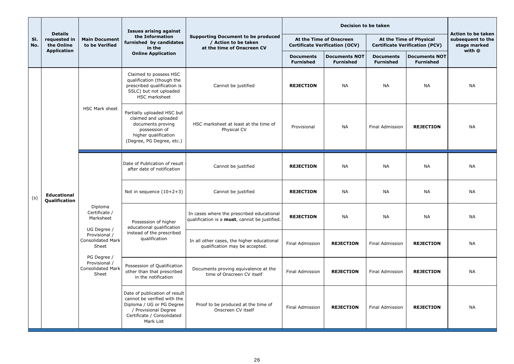|            |                                              |                                                            | <b>Issues arising against</b>                                                                                                                                |                                                                                                 |                                      | <b>Decision to be taken</b>                                      |                                                                  |                                          | <b>Action to be taken</b>                   |  |  |  |  |  |                            |                                            |                                                                              |                 |                  |                        |                  |           |
|------------|----------------------------------------------|------------------------------------------------------------|--------------------------------------------------------------------------------------------------------------------------------------------------------------|-------------------------------------------------------------------------------------------------|--------------------------------------|------------------------------------------------------------------|------------------------------------------------------------------|------------------------------------------|---------------------------------------------|--|--|--|--|--|----------------------------|--------------------------------------------|------------------------------------------------------------------------------|-----------------|------------------|------------------------|------------------|-----------|
| SI.<br>No. | <b>Details</b><br>requested in<br>the Online | <b>Main Document</b><br>to be Verified                     | the Information<br>furnished by candidates<br>in the                                                                                                         | <b>Supporting Document to be produced</b><br>/ Action to be taken<br>at the time of Onscreen CV |                                      | At the Time of Onscreen<br><b>Certificate Verification (OCV)</b> | At the Time of Physical<br><b>Certificate Verification (PCV)</b> |                                          | subsequent to the<br>stage marked<br>with @ |  |  |  |  |  |                            |                                            |                                                                              |                 |                  |                        |                  |           |
|            | <b>Application</b>                           |                                                            | <b>Online Application</b>                                                                                                                                    |                                                                                                 | <b>Documents</b><br><b>Furnished</b> | <b>Documents NOT</b><br><b>Furnished</b>                         | <b>Documents</b><br><b>Furnished</b>                             | <b>Documents NOT</b><br><b>Furnished</b> |                                             |  |  |  |  |  |                            |                                            |                                                                              |                 |                  |                        |                  |           |
|            |                                              |                                                            | Claimed to possess HSC<br>qualification (though the<br>prescribed qualification is<br>SSLC) but not uploaded<br>HSC marksheet                                | Cannot be justified                                                                             | <b>REJECTION</b>                     | <b>NA</b>                                                        | <b>NA</b>                                                        | <b>NA</b>                                | <b>NA</b>                                   |  |  |  |  |  |                            |                                            |                                                                              |                 |                  |                        |                  |           |
|            |                                              | <b>HSC Mark sheet</b>                                      | Partially uploaded HSC but<br>claimed and uploaded<br>documents proving<br>possession of<br>higher qualification<br>(Degree, PG Degree, etc.)                | HSC marksheet at least at the time of<br>Physical CV                                            | Provisional                          | <b>NA</b>                                                        | <b>Final Admission</b>                                           | <b>REJECTION</b>                         | <b>NA</b>                                   |  |  |  |  |  |                            |                                            |                                                                              |                 |                  |                        |                  |           |
|            |                                              |                                                            | Date of Publication of result<br>after date of notification                                                                                                  | Cannot be justified                                                                             | <b>REJECTION</b>                     | <b>NA</b>                                                        | <b>NA</b>                                                        | <b>NA</b>                                | <b>NA</b>                                   |  |  |  |  |  |                            |                                            |                                                                              |                 |                  |                        |                  |           |
| (s)        | <b>Educational</b><br>Qualification          |                                                            |                                                                                                                                                              |                                                                                                 |                                      |                                                                  |                                                                  |                                          |                                             |  |  |  |  |  | Not in sequence $(10+2+3)$ | Cannot be justified                        | <b>REJECTION</b>                                                             | <b>NA</b>       | <b>NA</b>        | <b>NA</b>              | <b>NA</b>        |           |
|            |                                              | Diploma<br>Certificate /<br>Marksheet                      | Possession of higher<br>educational qualification                                                                                                            | In cases where the prescribed educational<br>qualification is a must, cannot be justified.      | <b>REJECTION</b>                     | <b>NA</b>                                                        | <b>NA</b>                                                        | <b>NA</b>                                | <b>NA</b>                                   |  |  |  |  |  |                            |                                            |                                                                              |                 |                  |                        |                  |           |
|            |                                              | UG Degree /<br>Provisional /<br>Consolidated Mark<br>Sheet |                                                                                                                                                              |                                                                                                 |                                      |                                                                  |                                                                  |                                          |                                             |  |  |  |  |  | PG Degree /                | instead of the prescribed<br>qualification | In all other cases, the higher educational<br>qualification may be accepted. | Final Admission | <b>REJECTION</b> | <b>Final Admission</b> | <b>REJECTION</b> | <b>NA</b> |
|            |                                              | Provisional /<br><b>Consolidated Mark</b><br>Sheet         | Possession of Qualification<br>other than that prescribed<br>in the notification                                                                             | Documents proving equivalence at the<br>time of Onscreen CV itself                              | <b>Final Admission</b>               | <b>REJECTION</b>                                                 | Final Admission                                                  | <b>REJECTION</b>                         | <b>NA</b>                                   |  |  |  |  |  |                            |                                            |                                                                              |                 |                  |                        |                  |           |
|            |                                              |                                                            | Date of publication of result<br>cannot be verified with the<br>Diploma / UG or PG Degree<br>/ Provisional Degree<br>Certificate / Consolidated<br>Mark List | Proof to be produced at the time of<br>Onscreen CV itself                                       | <b>Final Admission</b>               | <b>REJECTION</b>                                                 | <b>Final Admission</b>                                           | <b>REJECTION</b>                         | <b>NA</b>                                   |  |  |  |  |  |                            |                                            |                                                                              |                 |                  |                        |                  |           |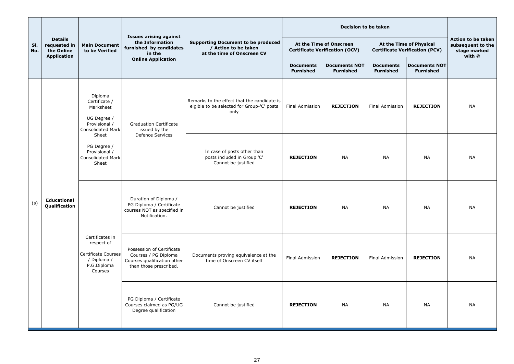|            |                                                                    |                                                                                                   | <b>Issues arising against</b>                                                                              |                                                                                                   | <b>Decision to be taken</b>                                      |                                          |                                                                  |                                          |                                                                   |
|------------|--------------------------------------------------------------------|---------------------------------------------------------------------------------------------------|------------------------------------------------------------------------------------------------------------|---------------------------------------------------------------------------------------------------|------------------------------------------------------------------|------------------------------------------|------------------------------------------------------------------|------------------------------------------|-------------------------------------------------------------------|
| SI.<br>No. | <b>Details</b><br>requested in<br>the Online<br><b>Application</b> | <b>Main Document</b><br>to be Verified                                                            | the Information<br>furnished by candidates<br>in the                                                       | <b>Supporting Document to be produced</b><br>/ Action to be taken<br>at the time of Onscreen CV   | At the Time of Onscreen<br><b>Certificate Verification (OCV)</b> |                                          | At the Time of Physical<br><b>Certificate Verification (PCV)</b> |                                          | Action to be taken<br>subsequent to the<br>stage marked<br>with @ |
|            |                                                                    |                                                                                                   | <b>Online Application</b>                                                                                  |                                                                                                   | <b>Documents</b><br><b>Furnished</b>                             | <b>Documents NOT</b><br><b>Furnished</b> | <b>Documents</b><br><b>Furnished</b>                             | <b>Documents NOT</b><br><b>Furnished</b> |                                                                   |
|            |                                                                    | Diploma<br>Certificate /<br>Marksheet<br>UG Degree /<br>Provisional /<br><b>Consolidated Mark</b> | <b>Graduation Certificate</b><br>issued by the                                                             | Remarks to the effect that the candidate is<br>elgible to be selected for Group-'C' posts<br>only | <b>Final Admission</b>                                           | <b>REJECTION</b>                         | <b>Final Admission</b>                                           | <b>REJECTION</b>                         | <b>NA</b>                                                         |
|            |                                                                    | Sheet<br>PG Degree /<br>Provisional /<br><b>Consolidated Mark</b><br>Sheet                        | <b>Defence Services</b>                                                                                    | In case of posts other than<br>posts included in Group 'C'<br>Cannot be justified                 | <b>REJECTION</b>                                                 | <b>NA</b>                                | <b>NA</b>                                                        | <b>NA</b>                                | <b>NA</b>                                                         |
| (s)        | <b>Educational</b><br>Qualification                                | Certificates in<br>respect of<br>Certificate Courses<br>/ Diploma /<br>P.G.Diploma<br>Courses     | Duration of Diploma /<br>PG Diploma / Certificate<br>courses NOT as specified in<br>Notification.          | Cannot be justified                                                                               | <b>REJECTION</b>                                                 | <b>NA</b>                                | <b>NA</b>                                                        | <b>NA</b>                                | <b>NA</b>                                                         |
|            |                                                                    |                                                                                                   | Possession of Certificate<br>Courses / PG Diploma<br>Courses qualification other<br>than those prescribed. | Documents proving equivalence at the<br>time of Onscreen CV itself                                | <b>Final Admission</b>                                           | <b>REJECTION</b>                         | <b>Final Admission</b>                                           | <b>REJECTION</b>                         | <b>NA</b>                                                         |
|            |                                                                    |                                                                                                   | PG Diploma / Certificate<br>Courses claimed as PG/UG<br>Degree qualification                               | Cannot be justified                                                                               | <b>REJECTION</b>                                                 | <b>NA</b>                                | <b>NA</b>                                                        | <b>NA</b>                                | <b>NA</b>                                                         |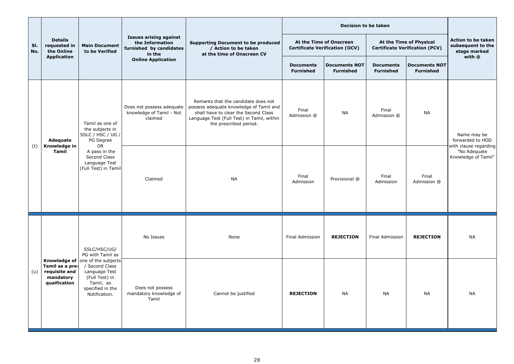|            |                                                               |                                                                                                                                                         |                                                                                       |                                                                                                                                                                                                | <b>Decision to be taken</b>                                      |                                          |                                                                  |                                                              |                                                                   |
|------------|---------------------------------------------------------------|---------------------------------------------------------------------------------------------------------------------------------------------------------|---------------------------------------------------------------------------------------|------------------------------------------------------------------------------------------------------------------------------------------------------------------------------------------------|------------------------------------------------------------------|------------------------------------------|------------------------------------------------------------------|--------------------------------------------------------------|-------------------------------------------------------------------|
| SI.<br>No. | <b>Details</b><br>requested in<br>the Online                  | <b>Main Document</b><br>to be Verified                                                                                                                  | <b>Issues arising against</b><br>the Information<br>furnished by candidates<br>in the | <b>Supporting Document to be produced</b><br>/ Action to be taken<br>at the time of Onscreen CV                                                                                                | At the Time of Onscreen<br><b>Certificate Verification (OCV)</b> |                                          | At the Time of Physical<br><b>Certificate Verification (PCV)</b> |                                                              | Action to be taken<br>subsequent to the<br>stage marked<br>with @ |
|            | <b>Application</b>                                            |                                                                                                                                                         | <b>Online Application</b>                                                             |                                                                                                                                                                                                | <b>Documents</b><br><b>Furnished</b>                             | <b>Documents NOT</b><br><b>Furnished</b> | <b>Documents</b><br><b>Furnished</b>                             | <b>Documents NOT</b><br><b>Furnished</b>                     |                                                                   |
|            | Adequate<br>Knowledge in<br>(t)<br><b>Tamil</b>               | Tamil as one of<br>the subjects in<br> SSLC / HSC / UG /  <br>PG Degree<br>OR<br>A pass in the<br>Second Class<br>Language Test<br>(Full Test) in Tamil | Does not possess adequate<br>knowledge of Tamil - Not<br>claimed                      | Remarks that the candidate does not<br>possess adequate knowledge of Tamil and<br>shall have to clear the Second Class<br>Language Test (Full Test) in Tamil, within<br>the prescribed period. | Final<br>Admission @                                             | <b>NA</b>                                | Final<br>Admission @                                             | <b>NA</b>                                                    | Name may be<br>forwarded to HOD                                   |
|            |                                                               |                                                                                                                                                         | Claimed                                                                               | Final<br><b>NA</b><br>Admission                                                                                                                                                                | Provisional @                                                    | Final<br>Admission                       | Final<br>Admission @                                             | with clause regarding<br>"No Adequate<br>Knowledge of Tamil" |                                                                   |
|            |                                                               | SSLC/HSC/UG/<br>PG with Tamil as                                                                                                                        | No Issues                                                                             | None                                                                                                                                                                                           | <b>Final Admission</b>                                           | <b>REJECTION</b>                         | <b>Final Admission</b>                                           | <b>REJECTION</b>                                             | <b>NA</b>                                                         |
| (u)        | Tamil as a pre-<br>requisite and<br>mandatory<br>quaification | <b>Knowledge of</b> one of the subjects<br>/ Second Class<br>Language Test<br>(Full Test) in<br>Tamil, as<br>specified in the<br>Notification.          | Does not possess<br>mandatory knowledge of<br>Tamil                                   | Cannot be justified                                                                                                                                                                            | <b>REJECTION</b>                                                 | <b>NA</b>                                | <b>NA</b>                                                        | <b>NA</b>                                                    | <b>NA</b>                                                         |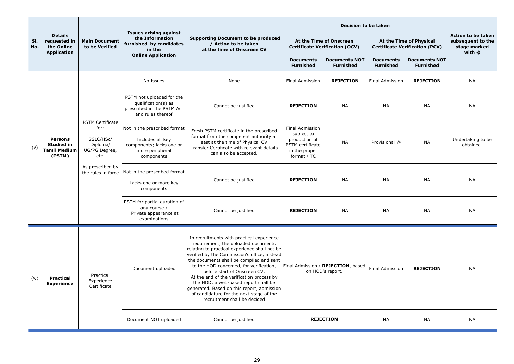|            |                                                                      |                                                                                   | <b>Issues arising against</b>                                                                                 |                                                                                                                                                                                                                                                                                                                                                                                                                                                                                                                         | <b>Decision to be taken</b>                                                                        |                                                        |                                                                  |                                                                   |                                |  |
|------------|----------------------------------------------------------------------|-----------------------------------------------------------------------------------|---------------------------------------------------------------------------------------------------------------|-------------------------------------------------------------------------------------------------------------------------------------------------------------------------------------------------------------------------------------------------------------------------------------------------------------------------------------------------------------------------------------------------------------------------------------------------------------------------------------------------------------------------|----------------------------------------------------------------------------------------------------|--------------------------------------------------------|------------------------------------------------------------------|-------------------------------------------------------------------|--------------------------------|--|
| SI.<br>No. | <b>Details</b><br>requested in<br>the Online<br><b>Application</b>   | <b>Main Document</b><br>to be Verified                                            | the Information<br>furnished by candidates<br>in the                                                          | <b>Supporting Document to be produced</b><br>/ Action to be taken<br>at the time of Onscreen CV                                                                                                                                                                                                                                                                                                                                                                                                                         | At the Time of Onscreen<br><b>Certificate Verification (OCV)</b>                                   |                                                        | At the Time of Physical<br><b>Certificate Verification (PCV)</b> | Action to be taken<br>subsequent to the<br>stage marked<br>with @ |                                |  |
|            |                                                                      |                                                                                   | <b>Online Application</b>                                                                                     |                                                                                                                                                                                                                                                                                                                                                                                                                                                                                                                         | <b>Documents</b><br><b>Furnished</b>                                                               | <b>Documents NOT</b><br><b>Furnished</b>               | <b>Documents</b><br><b>Furnished</b>                             | <b>Documents NOT</b><br><b>Furnished</b>                          |                                |  |
|            |                                                                      |                                                                                   | No Issues                                                                                                     | None                                                                                                                                                                                                                                                                                                                                                                                                                                                                                                                    | <b>Final Admission</b>                                                                             | <b>REJECTION</b>                                       | <b>Final Admission</b>                                           | <b>REJECTION</b>                                                  | <b>NA</b>                      |  |
|            |                                                                      |                                                                                   | PSTM not uploaded for the<br>qualification(s) as<br>prescribed in the PSTM Act<br>and rules thereof           | Cannot be justified                                                                                                                                                                                                                                                                                                                                                                                                                                                                                                     | <b>REJECTION</b>                                                                                   | <b>NA</b>                                              | <b>NA</b>                                                        | <b>NA</b>                                                         | <b>NA</b>                      |  |
| (v)        | <b>Persons</b><br><b>Studied in</b><br><b>Tamil Medium</b><br>(PSTM) | <b>PSTM Certificate</b><br>for:<br>SSLC/HSc/<br>Diploma/<br>UG/PG Degree,<br>etc. | Not in the prescribed format<br>Includes all key<br>components; lacks one or<br>more peripheral<br>components | Fresh PSTM certificate in the prescribed<br>format from the competent authority at<br>least at the time of Physical CV.<br>Transfer Certificate with relevant details<br>can also be accepted.                                                                                                                                                                                                                                                                                                                          | Final Admission<br>subject to<br>production of<br>PSTM certificate<br>in the proper<br>format / TC | <b>NA</b>                                              | Provisional @                                                    | <b>NA</b>                                                         | Undertaking to be<br>obtained. |  |
|            |                                                                      | As prescribed by<br>the rules in force                                            | Not in the prescribed format<br>Lacks one or more key<br>components                                           | Cannot be justified                                                                                                                                                                                                                                                                                                                                                                                                                                                                                                     | <b>REJECTION</b>                                                                                   | <b>NA</b>                                              | <b>NA</b>                                                        | <b>NA</b>                                                         | <b>NA</b>                      |  |
|            |                                                                      |                                                                                   | PSTM for partial duration of<br>any course /<br>Private appearance at<br>examinations                         | Cannot be justified                                                                                                                                                                                                                                                                                                                                                                                                                                                                                                     | <b>REJECTION</b>                                                                                   | <b>NA</b>                                              | <b>NA</b>                                                        | <b>NA</b>                                                         | <b>NA</b>                      |  |
| (w)        | <b>Practical</b><br><b>Experience</b>                                | Practical<br>Experience<br>Certificate                                            | Document uploaded                                                                                             | In recruitments with practical experience<br>requirement, the uploaded documents<br>relating to practical experience shall not be<br>verified by the Commission's office, instead<br>the documents shall be compiled and sent<br>to the HOD concerned, for verification,<br>before start of Onscreen CV.<br>At the end of the verification process by<br>the HOD, a web-based report shall be<br>generated. Based on this report, admission<br>of candidature for the next stage of the<br>recruitment shall be decided |                                                                                                    | Final Admission / REJECTION, based<br>on HOD's report. | Final Admission                                                  | <b>REJECTION</b>                                                  | <b>NA</b>                      |  |
|            |                                                                      |                                                                                   | Document NOT uploaded                                                                                         | Cannot be justified                                                                                                                                                                                                                                                                                                                                                                                                                                                                                                     |                                                                                                    | <b>REJECTION</b>                                       | <b>NA</b>                                                        | <b>NA</b>                                                         | <b>NA</b>                      |  |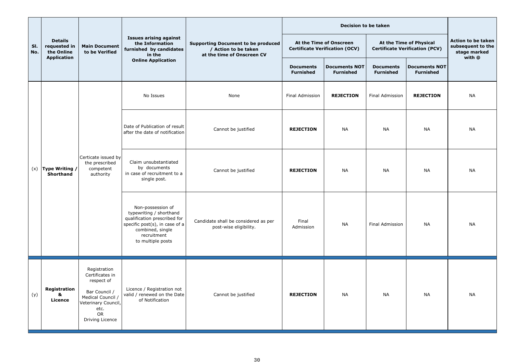|            |                                              |                                                                                                                                             |                                                                                                                                                                        | <b>Supporting Document to be produced</b><br>/ Action to be taken<br>at the time of Onscreen CV |                                                                  |                                          |                                                                  |                                          |                                                                   |
|------------|----------------------------------------------|---------------------------------------------------------------------------------------------------------------------------------------------|------------------------------------------------------------------------------------------------------------------------------------------------------------------------|-------------------------------------------------------------------------------------------------|------------------------------------------------------------------|------------------------------------------|------------------------------------------------------------------|------------------------------------------|-------------------------------------------------------------------|
| SI.<br>No. | <b>Details</b><br>requested in<br>the Online | <b>Main Document</b><br>to be Verified                                                                                                      | <b>Issues arising against</b><br>the Information<br>furnished by candidates<br>in the                                                                                  |                                                                                                 | At the Time of Onscreen<br><b>Certificate Verification (OCV)</b> |                                          | At the Time of Physical<br><b>Certificate Verification (PCV)</b> |                                          | Action to be taken<br>subsequent to the<br>stage marked<br>with @ |
|            | <b>Application</b>                           |                                                                                                                                             | <b>Online Application</b>                                                                                                                                              |                                                                                                 | <b>Documents</b><br><b>Furnished</b>                             | <b>Documents NOT</b><br><b>Furnished</b> | <b>Documents</b><br><b>Furnished</b>                             | <b>Documents NOT</b><br><b>Furnished</b> |                                                                   |
|            |                                              |                                                                                                                                             | No Issues                                                                                                                                                              | None                                                                                            | <b>Final Admission</b>                                           | <b>REJECTION</b>                         | <b>Final Admission</b>                                           | <b>REJECTION</b>                         | <b>NA</b>                                                         |
|            |                                              |                                                                                                                                             | Date of Publication of result<br>after the date of notification                                                                                                        | Cannot be justified                                                                             | <b>REJECTION</b>                                                 | <b>NA</b>                                | <b>NA</b>                                                        | <b>NA</b>                                | <b>NA</b>                                                         |
|            | $(x)$ Type Writing /<br><b>Shorthand</b>     | Certicate issued by<br>the prescribed<br>competent<br>authority                                                                             | Claim unsubstantiated<br>by documents<br>in case of recruitment to a<br>single post.                                                                                   | Cannot be justified                                                                             | <b>REJECTION</b>                                                 | <b>NA</b>                                | <b>NA</b>                                                        | <b>NA</b>                                | <b>NA</b>                                                         |
|            |                                              |                                                                                                                                             | Non-possession of<br>typewriting / shorthand<br>qualification prescribed for<br>specific post(s), in case of a<br>combined, single<br>recruitment<br>to multiple posts | Candidate shall be considered as per<br>post-wise eligibility.                                  | Final<br>Admission                                               | <b>NA</b>                                | Final Admission                                                  | <b>NA</b>                                | <b>NA</b>                                                         |
| (y)        | Registration<br>&<br><b>Licence</b>          | Registration<br>Certificates in<br>respect of<br>Bar Council /<br>Medical Council /<br>Veterinary Council,<br>etc.<br>OR<br>Driving Licence | Licence / Registration not<br>valid / renewed on the Date<br>of Notification                                                                                           | Cannot be justified                                                                             | <b>REJECTION</b>                                                 | <b>NA</b>                                | <b>NA</b>                                                        | <b>NA</b>                                | <b>NA</b>                                                         |